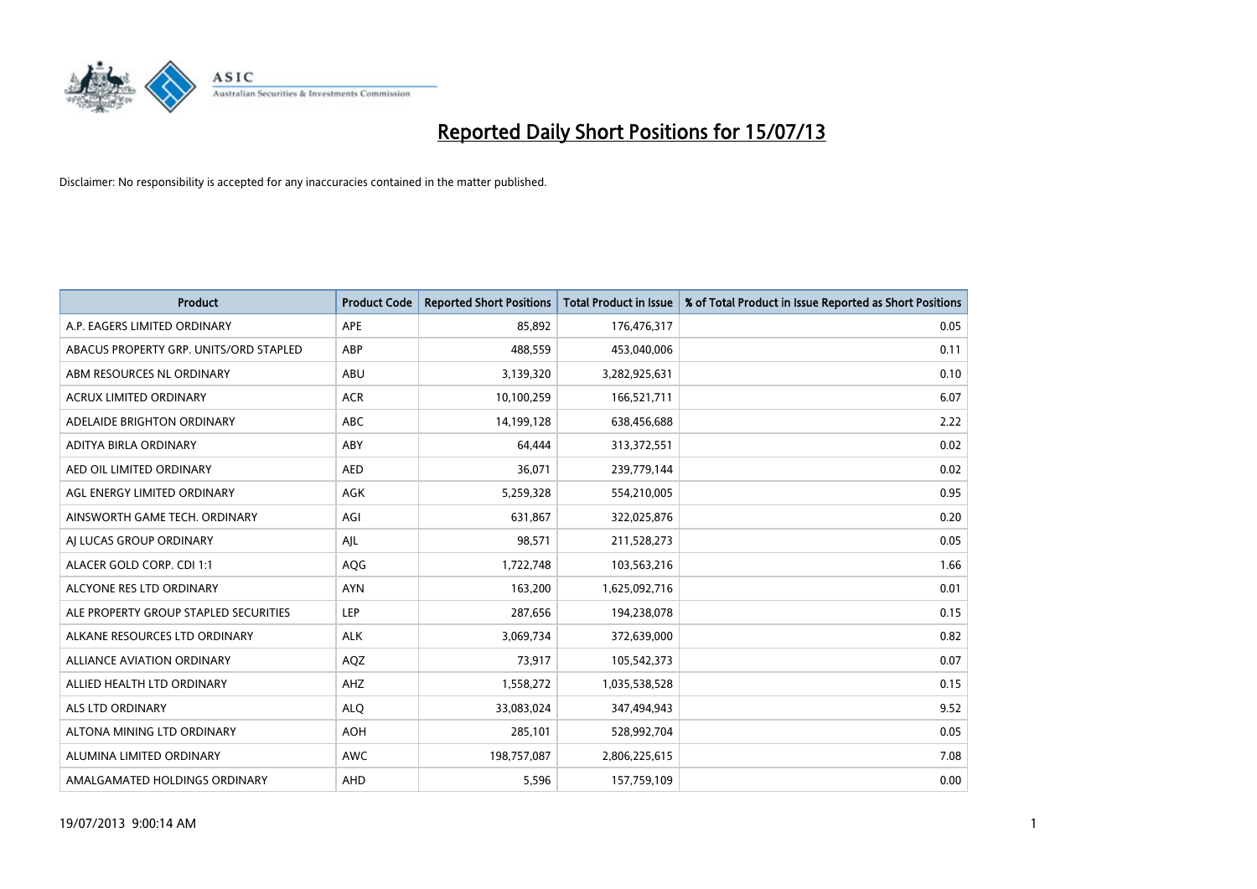

| <b>Product</b>                         | <b>Product Code</b> | <b>Reported Short Positions</b> | <b>Total Product in Issue</b> | % of Total Product in Issue Reported as Short Positions |
|----------------------------------------|---------------------|---------------------------------|-------------------------------|---------------------------------------------------------|
| A.P. EAGERS LIMITED ORDINARY           | APE                 | 85,892                          | 176,476,317                   | 0.05                                                    |
| ABACUS PROPERTY GRP. UNITS/ORD STAPLED | ABP                 | 488,559                         | 453,040,006                   | 0.11                                                    |
| ABM RESOURCES NL ORDINARY              | ABU                 | 3,139,320                       | 3,282,925,631                 | 0.10                                                    |
| <b>ACRUX LIMITED ORDINARY</b>          | <b>ACR</b>          | 10,100,259                      | 166,521,711                   | 6.07                                                    |
| ADELAIDE BRIGHTON ORDINARY             | <b>ABC</b>          | 14,199,128                      | 638,456,688                   | 2.22                                                    |
| ADITYA BIRLA ORDINARY                  | ABY                 | 64,444                          | 313,372,551                   | 0.02                                                    |
| AED OIL LIMITED ORDINARY               | <b>AED</b>          | 36,071                          | 239,779,144                   | 0.02                                                    |
| AGL ENERGY LIMITED ORDINARY            | AGK                 | 5,259,328                       | 554,210,005                   | 0.95                                                    |
| AINSWORTH GAME TECH. ORDINARY          | AGI                 | 631,867                         | 322,025,876                   | 0.20                                                    |
| AI LUCAS GROUP ORDINARY                | AJL                 | 98,571                          | 211,528,273                   | 0.05                                                    |
| ALACER GOLD CORP. CDI 1:1              | AQG                 | 1,722,748                       | 103,563,216                   | 1.66                                                    |
| ALCYONE RES LTD ORDINARY               | <b>AYN</b>          | 163,200                         | 1,625,092,716                 | 0.01                                                    |
| ALE PROPERTY GROUP STAPLED SECURITIES  | LEP                 | 287,656                         | 194,238,078                   | 0.15                                                    |
| ALKANE RESOURCES LTD ORDINARY          | <b>ALK</b>          | 3,069,734                       | 372,639,000                   | 0.82                                                    |
| ALLIANCE AVIATION ORDINARY             | AQZ                 | 73,917                          | 105,542,373                   | 0.07                                                    |
| ALLIED HEALTH LTD ORDINARY             | AHZ                 | 1,558,272                       | 1,035,538,528                 | 0.15                                                    |
| ALS LTD ORDINARY                       | <b>ALQ</b>          | 33,083,024                      | 347,494,943                   | 9.52                                                    |
| ALTONA MINING LTD ORDINARY             | <b>AOH</b>          | 285,101                         | 528,992,704                   | 0.05                                                    |
| ALUMINA LIMITED ORDINARY               | <b>AWC</b>          | 198,757,087                     | 2,806,225,615                 | 7.08                                                    |
| AMALGAMATED HOLDINGS ORDINARY          | AHD                 | 5,596                           | 157,759,109                   | 0.00                                                    |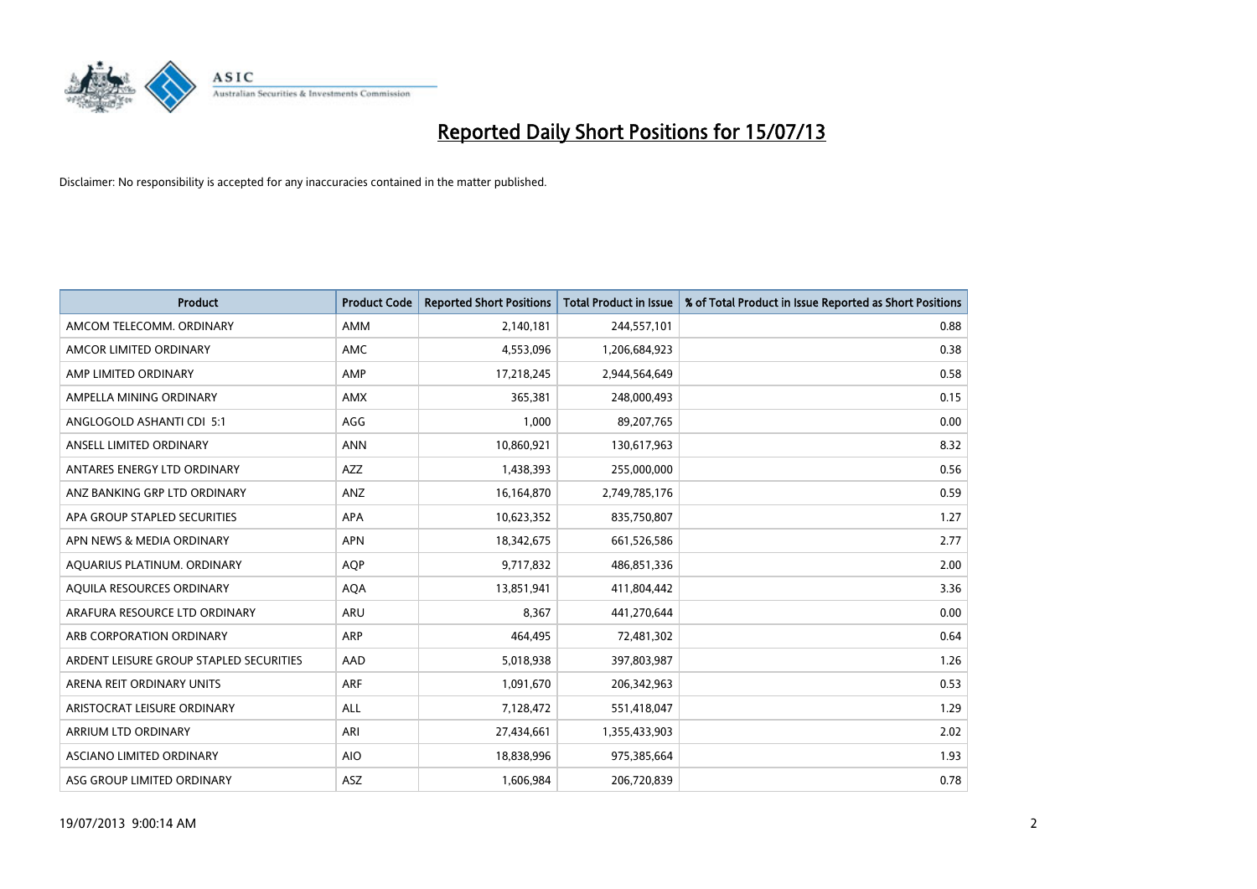

| <b>Product</b>                          | <b>Product Code</b> | <b>Reported Short Positions</b> | <b>Total Product in Issue</b> | % of Total Product in Issue Reported as Short Positions |
|-----------------------------------------|---------------------|---------------------------------|-------------------------------|---------------------------------------------------------|
| AMCOM TELECOMM, ORDINARY                | <b>AMM</b>          | 2,140,181                       | 244,557,101                   | 0.88                                                    |
| AMCOR LIMITED ORDINARY                  | AMC                 | 4,553,096                       | 1,206,684,923                 | 0.38                                                    |
| AMP LIMITED ORDINARY                    | AMP                 | 17,218,245                      | 2,944,564,649                 | 0.58                                                    |
| AMPELLA MINING ORDINARY                 | AMX                 | 365,381                         | 248,000,493                   | 0.15                                                    |
| ANGLOGOLD ASHANTI CDI 5:1               | AGG                 | 1,000                           | 89,207,765                    | 0.00                                                    |
| ANSELL LIMITED ORDINARY                 | <b>ANN</b>          | 10,860,921                      | 130,617,963                   | 8.32                                                    |
| ANTARES ENERGY LTD ORDINARY             | AZZ                 | 1,438,393                       | 255,000,000                   | 0.56                                                    |
| ANZ BANKING GRP LTD ORDINARY            | ANZ                 | 16,164,870                      | 2,749,785,176                 | 0.59                                                    |
| APA GROUP STAPLED SECURITIES            | APA                 | 10,623,352                      | 835,750,807                   | 1.27                                                    |
| APN NEWS & MEDIA ORDINARY               | <b>APN</b>          | 18,342,675                      | 661,526,586                   | 2.77                                                    |
| AQUARIUS PLATINUM. ORDINARY             | <b>AQP</b>          | 9,717,832                       | 486,851,336                   | 2.00                                                    |
| AQUILA RESOURCES ORDINARY               | <b>AQA</b>          | 13,851,941                      | 411,804,442                   | 3.36                                                    |
| ARAFURA RESOURCE LTD ORDINARY           | <b>ARU</b>          | 8,367                           | 441,270,644                   | 0.00                                                    |
| ARB CORPORATION ORDINARY                | <b>ARP</b>          | 464,495                         | 72,481,302                    | 0.64                                                    |
| ARDENT LEISURE GROUP STAPLED SECURITIES | AAD                 | 5,018,938                       | 397,803,987                   | 1.26                                                    |
| ARENA REIT ORDINARY UNITS               | ARF                 | 1,091,670                       | 206,342,963                   | 0.53                                                    |
| ARISTOCRAT LEISURE ORDINARY             | ALL                 | 7,128,472                       | 551,418,047                   | 1.29                                                    |
| ARRIUM LTD ORDINARY                     | ARI                 | 27,434,661                      | 1,355,433,903                 | 2.02                                                    |
| ASCIANO LIMITED ORDINARY                | <b>AIO</b>          | 18,838,996                      | 975,385,664                   | 1.93                                                    |
| ASG GROUP LIMITED ORDINARY              | ASZ                 | 1,606,984                       | 206,720,839                   | 0.78                                                    |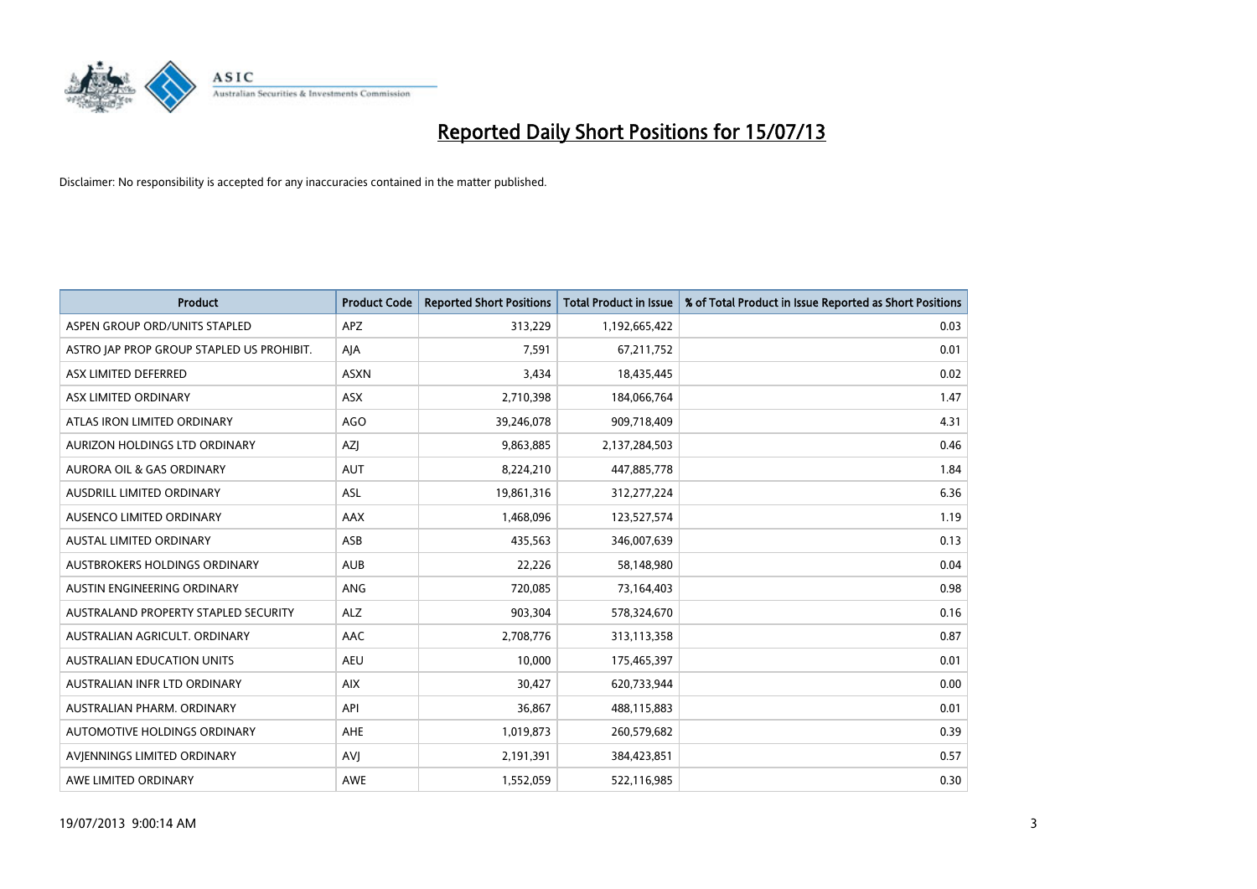

| Product                                   | <b>Product Code</b> | <b>Reported Short Positions</b> | Total Product in Issue | % of Total Product in Issue Reported as Short Positions |
|-------------------------------------------|---------------------|---------------------------------|------------------------|---------------------------------------------------------|
| ASPEN GROUP ORD/UNITS STAPLED             | <b>APZ</b>          | 313,229                         | 1,192,665,422          | 0.03                                                    |
| ASTRO JAP PROP GROUP STAPLED US PROHIBIT. | AJA                 | 7,591                           | 67,211,752             | 0.01                                                    |
| ASX LIMITED DEFERRED                      | <b>ASXN</b>         | 3,434                           | 18,435,445             | 0.02                                                    |
| ASX LIMITED ORDINARY                      | ASX                 | 2,710,398                       | 184,066,764            | 1.47                                                    |
| ATLAS IRON LIMITED ORDINARY               | AGO                 | 39,246,078                      | 909,718,409            | 4.31                                                    |
| AURIZON HOLDINGS LTD ORDINARY             | AZJ                 | 9,863,885                       | 2,137,284,503          | 0.46                                                    |
| <b>AURORA OIL &amp; GAS ORDINARY</b>      | <b>AUT</b>          | 8,224,210                       | 447,885,778            | 1.84                                                    |
| AUSDRILL LIMITED ORDINARY                 | <b>ASL</b>          | 19,861,316                      | 312,277,224            | 6.36                                                    |
| AUSENCO LIMITED ORDINARY                  | <b>AAX</b>          | 1,468,096                       | 123,527,574            | 1.19                                                    |
| <b>AUSTAL LIMITED ORDINARY</b>            | ASB                 | 435,563                         | 346,007,639            | 0.13                                                    |
| AUSTBROKERS HOLDINGS ORDINARY             | <b>AUB</b>          | 22,226                          | 58,148,980             | 0.04                                                    |
| AUSTIN ENGINEERING ORDINARY               | ANG                 | 720,085                         | 73,164,403             | 0.98                                                    |
| AUSTRALAND PROPERTY STAPLED SECURITY      | <b>ALZ</b>          | 903,304                         | 578,324,670            | 0.16                                                    |
| AUSTRALIAN AGRICULT, ORDINARY             | AAC                 | 2,708,776                       | 313,113,358            | 0.87                                                    |
| <b>AUSTRALIAN EDUCATION UNITS</b>         | <b>AEU</b>          | 10,000                          | 175,465,397            | 0.01                                                    |
| AUSTRALIAN INFR LTD ORDINARY              | <b>AIX</b>          | 30,427                          | 620,733,944            | 0.00                                                    |
| AUSTRALIAN PHARM. ORDINARY                | API                 | 36,867                          | 488,115,883            | 0.01                                                    |
| AUTOMOTIVE HOLDINGS ORDINARY              | AHE                 | 1,019,873                       | 260,579,682            | 0.39                                                    |
| AVIENNINGS LIMITED ORDINARY               | <b>AVI</b>          | 2,191,391                       | 384,423,851            | 0.57                                                    |
| AWE LIMITED ORDINARY                      | AWE                 | 1,552,059                       | 522,116,985            | 0.30                                                    |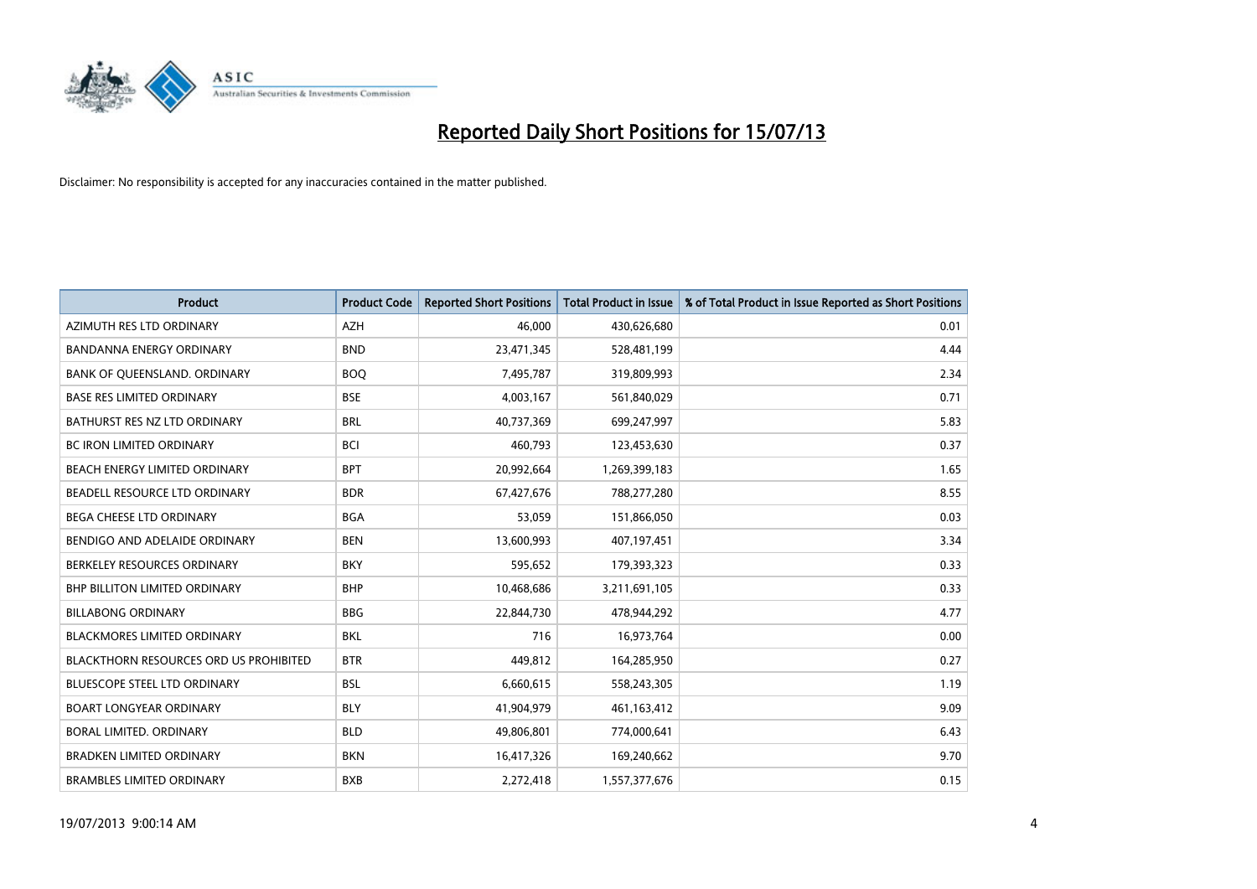

| <b>Product</b>                                | <b>Product Code</b> | <b>Reported Short Positions</b> | <b>Total Product in Issue</b> | % of Total Product in Issue Reported as Short Positions |
|-----------------------------------------------|---------------------|---------------------------------|-------------------------------|---------------------------------------------------------|
| AZIMUTH RES LTD ORDINARY                      | <b>AZH</b>          | 46,000                          | 430,626,680                   | 0.01                                                    |
| BANDANNA ENERGY ORDINARY                      | <b>BND</b>          | 23,471,345                      | 528,481,199                   | 4.44                                                    |
| BANK OF QUEENSLAND. ORDINARY                  | <b>BOQ</b>          | 7,495,787                       | 319,809,993                   | 2.34                                                    |
| <b>BASE RES LIMITED ORDINARY</b>              | <b>BSE</b>          | 4,003,167                       | 561,840,029                   | 0.71                                                    |
| BATHURST RES NZ LTD ORDINARY                  | <b>BRL</b>          | 40,737,369                      | 699,247,997                   | 5.83                                                    |
| <b>BC IRON LIMITED ORDINARY</b>               | <b>BCI</b>          | 460,793                         | 123,453,630                   | 0.37                                                    |
| BEACH ENERGY LIMITED ORDINARY                 | <b>BPT</b>          | 20,992,664                      | 1,269,399,183                 | 1.65                                                    |
| BEADELL RESOURCE LTD ORDINARY                 | <b>BDR</b>          | 67,427,676                      | 788,277,280                   | 8.55                                                    |
| <b>BEGA CHEESE LTD ORDINARY</b>               | <b>BGA</b>          | 53,059                          | 151,866,050                   | 0.03                                                    |
| BENDIGO AND ADELAIDE ORDINARY                 | <b>BEN</b>          | 13,600,993                      | 407,197,451                   | 3.34                                                    |
| BERKELEY RESOURCES ORDINARY                   | <b>BKY</b>          | 595,652                         | 179,393,323                   | 0.33                                                    |
| <b>BHP BILLITON LIMITED ORDINARY</b>          | <b>BHP</b>          | 10,468,686                      | 3,211,691,105                 | 0.33                                                    |
| <b>BILLABONG ORDINARY</b>                     | <b>BBG</b>          | 22,844,730                      | 478,944,292                   | 4.77                                                    |
| <b>BLACKMORES LIMITED ORDINARY</b>            | BKL                 | 716                             | 16,973,764                    | 0.00                                                    |
| <b>BLACKTHORN RESOURCES ORD US PROHIBITED</b> | <b>BTR</b>          | 449,812                         | 164,285,950                   | 0.27                                                    |
| BLUESCOPE STEEL LTD ORDINARY                  | <b>BSL</b>          | 6,660,615                       | 558,243,305                   | 1.19                                                    |
| <b>BOART LONGYEAR ORDINARY</b>                | <b>BLY</b>          | 41,904,979                      | 461,163,412                   | 9.09                                                    |
| <b>BORAL LIMITED, ORDINARY</b>                | <b>BLD</b>          | 49,806,801                      | 774,000,641                   | 6.43                                                    |
| <b>BRADKEN LIMITED ORDINARY</b>               | <b>BKN</b>          | 16,417,326                      | 169,240,662                   | 9.70                                                    |
| <b>BRAMBLES LIMITED ORDINARY</b>              | <b>BXB</b>          | 2,272,418                       | 1,557,377,676                 | 0.15                                                    |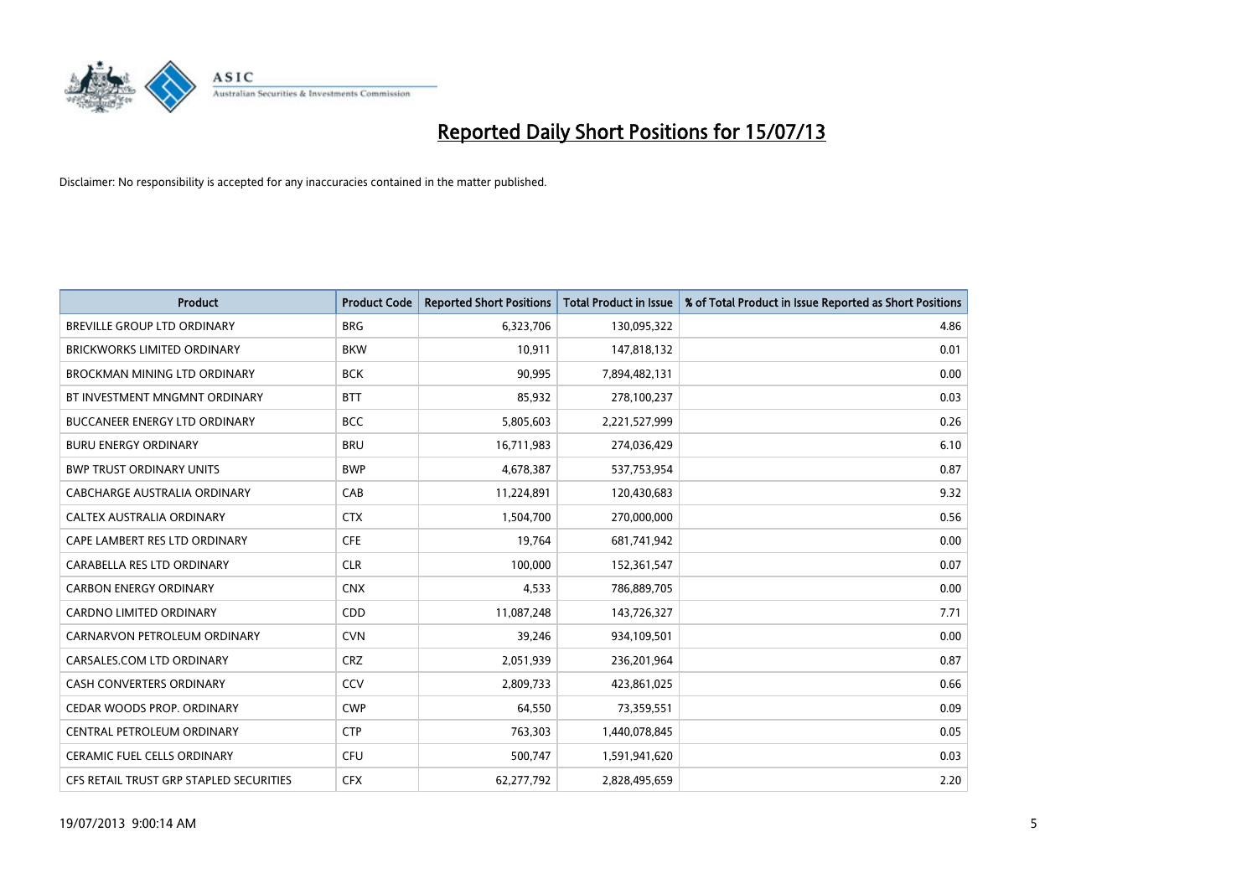

| <b>Product</b>                          | <b>Product Code</b> | <b>Reported Short Positions</b> | <b>Total Product in Issue</b> | % of Total Product in Issue Reported as Short Positions |
|-----------------------------------------|---------------------|---------------------------------|-------------------------------|---------------------------------------------------------|
| BREVILLE GROUP LTD ORDINARY             | <b>BRG</b>          | 6,323,706                       | 130,095,322                   | 4.86                                                    |
| <b>BRICKWORKS LIMITED ORDINARY</b>      | <b>BKW</b>          | 10,911                          | 147,818,132                   | 0.01                                                    |
| BROCKMAN MINING LTD ORDINARY            | <b>BCK</b>          | 90,995                          | 7,894,482,131                 | 0.00                                                    |
| BT INVESTMENT MNGMNT ORDINARY           | <b>BTT</b>          | 85,932                          | 278,100,237                   | 0.03                                                    |
| <b>BUCCANEER ENERGY LTD ORDINARY</b>    | <b>BCC</b>          | 5,805,603                       | 2,221,527,999                 | 0.26                                                    |
| <b>BURU ENERGY ORDINARY</b>             | <b>BRU</b>          | 16,711,983                      | 274,036,429                   | 6.10                                                    |
| <b>BWP TRUST ORDINARY UNITS</b>         | <b>BWP</b>          | 4,678,387                       | 537,753,954                   | 0.87                                                    |
| <b>CABCHARGE AUSTRALIA ORDINARY</b>     | CAB                 | 11,224,891                      | 120,430,683                   | 9.32                                                    |
| CALTEX AUSTRALIA ORDINARY               | <b>CTX</b>          | 1,504,700                       | 270,000,000                   | 0.56                                                    |
| CAPE LAMBERT RES LTD ORDINARY           | <b>CFE</b>          | 19,764                          | 681,741,942                   | 0.00                                                    |
| CARABELLA RES LTD ORDINARY              | <b>CLR</b>          | 100,000                         | 152,361,547                   | 0.07                                                    |
| <b>CARBON ENERGY ORDINARY</b>           | <b>CNX</b>          | 4,533                           | 786,889,705                   | 0.00                                                    |
| CARDNO LIMITED ORDINARY                 | CDD                 | 11,087,248                      | 143,726,327                   | 7.71                                                    |
| CARNARVON PETROLEUM ORDINARY            | <b>CVN</b>          | 39,246                          | 934,109,501                   | 0.00                                                    |
| CARSALES.COM LTD ORDINARY               | <b>CRZ</b>          | 2,051,939                       | 236,201,964                   | 0.87                                                    |
| CASH CONVERTERS ORDINARY                | CCV                 | 2,809,733                       | 423,861,025                   | 0.66                                                    |
| CEDAR WOODS PROP. ORDINARY              | <b>CWP</b>          | 64,550                          | 73,359,551                    | 0.09                                                    |
| CENTRAL PETROLEUM ORDINARY              | <b>CTP</b>          | 763,303                         | 1,440,078,845                 | 0.05                                                    |
| <b>CERAMIC FUEL CELLS ORDINARY</b>      | <b>CFU</b>          | 500,747                         | 1,591,941,620                 | 0.03                                                    |
| CFS RETAIL TRUST GRP STAPLED SECURITIES | <b>CFX</b>          | 62,277,792                      | 2,828,495,659                 | 2.20                                                    |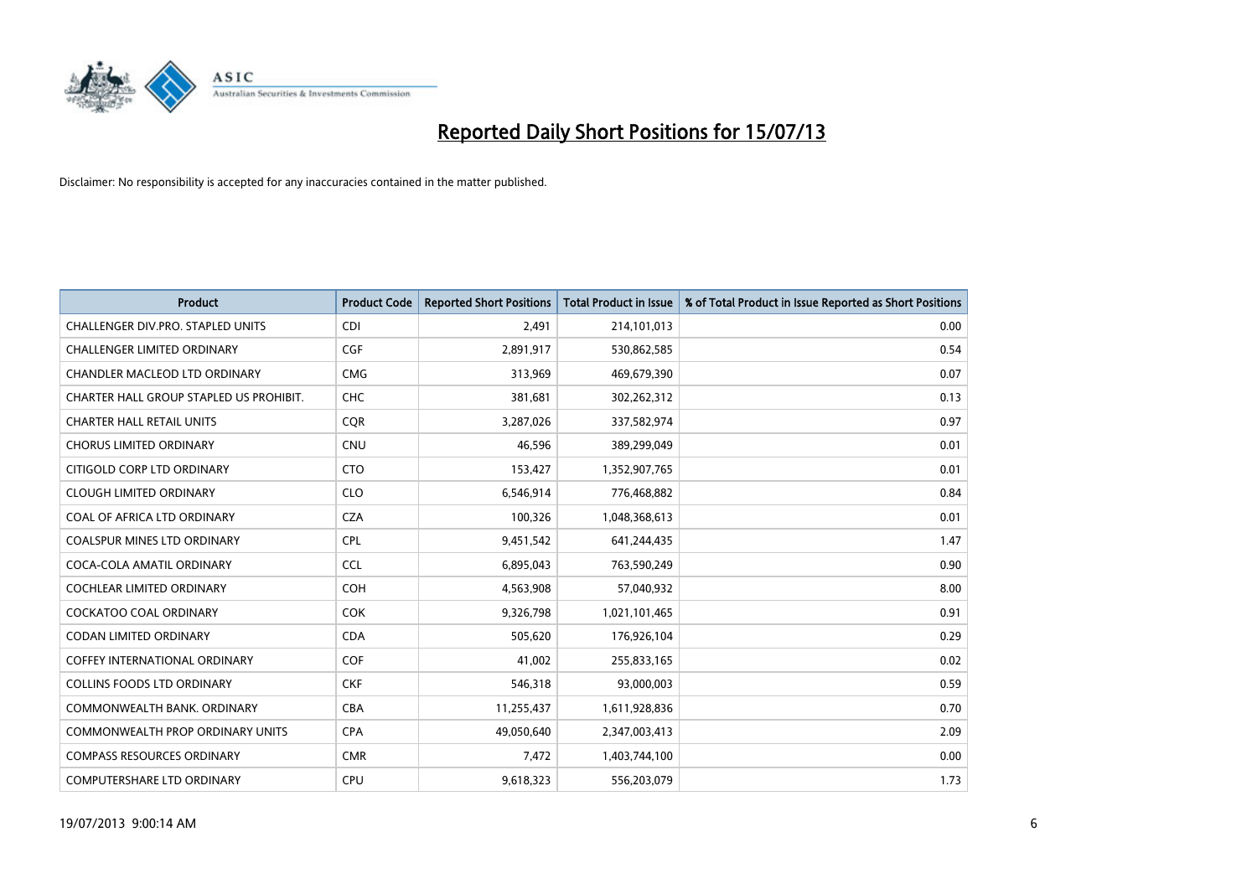

| <b>Product</b>                          | <b>Product Code</b> | <b>Reported Short Positions</b> | <b>Total Product in Issue</b> | % of Total Product in Issue Reported as Short Positions |
|-----------------------------------------|---------------------|---------------------------------|-------------------------------|---------------------------------------------------------|
| CHALLENGER DIV.PRO. STAPLED UNITS       | <b>CDI</b>          | 2,491                           | 214,101,013                   | 0.00                                                    |
| CHALLENGER LIMITED ORDINARY             | <b>CGF</b>          | 2,891,917                       | 530,862,585                   | 0.54                                                    |
| CHANDLER MACLEOD LTD ORDINARY           | <b>CMG</b>          | 313,969                         | 469,679,390                   | 0.07                                                    |
| CHARTER HALL GROUP STAPLED US PROHIBIT. | <b>CHC</b>          | 381,681                         | 302,262,312                   | 0.13                                                    |
| <b>CHARTER HALL RETAIL UNITS</b>        | <b>COR</b>          | 3,287,026                       | 337,582,974                   | 0.97                                                    |
| <b>CHORUS LIMITED ORDINARY</b>          | CNU                 | 46,596                          | 389,299,049                   | 0.01                                                    |
| CITIGOLD CORP LTD ORDINARY              | <b>CTO</b>          | 153,427                         | 1,352,907,765                 | 0.01                                                    |
| <b>CLOUGH LIMITED ORDINARY</b>          | <b>CLO</b>          | 6,546,914                       | 776,468,882                   | 0.84                                                    |
| COAL OF AFRICA LTD ORDINARY             | <b>CZA</b>          | 100,326                         | 1,048,368,613                 | 0.01                                                    |
| <b>COALSPUR MINES LTD ORDINARY</b>      | <b>CPL</b>          | 9,451,542                       | 641,244,435                   | 1.47                                                    |
| COCA-COLA AMATIL ORDINARY               | <b>CCL</b>          | 6,895,043                       | 763,590,249                   | 0.90                                                    |
| <b>COCHLEAR LIMITED ORDINARY</b>        | <b>COH</b>          | 4,563,908                       | 57,040,932                    | 8.00                                                    |
| <b>COCKATOO COAL ORDINARY</b>           | <b>COK</b>          | 9,326,798                       | 1,021,101,465                 | 0.91                                                    |
| CODAN LIMITED ORDINARY                  | <b>CDA</b>          | 505,620                         | 176,926,104                   | 0.29                                                    |
| COFFEY INTERNATIONAL ORDINARY           | <b>COF</b>          | 41,002                          | 255,833,165                   | 0.02                                                    |
| <b>COLLINS FOODS LTD ORDINARY</b>       | <b>CKF</b>          | 546,318                         | 93,000,003                    | 0.59                                                    |
| COMMONWEALTH BANK, ORDINARY             | <b>CBA</b>          | 11,255,437                      | 1,611,928,836                 | 0.70                                                    |
| COMMONWEALTH PROP ORDINARY UNITS        | <b>CPA</b>          | 49,050,640                      | 2,347,003,413                 | 2.09                                                    |
| <b>COMPASS RESOURCES ORDINARY</b>       | <b>CMR</b>          | 7,472                           | 1,403,744,100                 | 0.00                                                    |
| COMPUTERSHARE LTD ORDINARY              | <b>CPU</b>          | 9,618,323                       | 556,203,079                   | 1.73                                                    |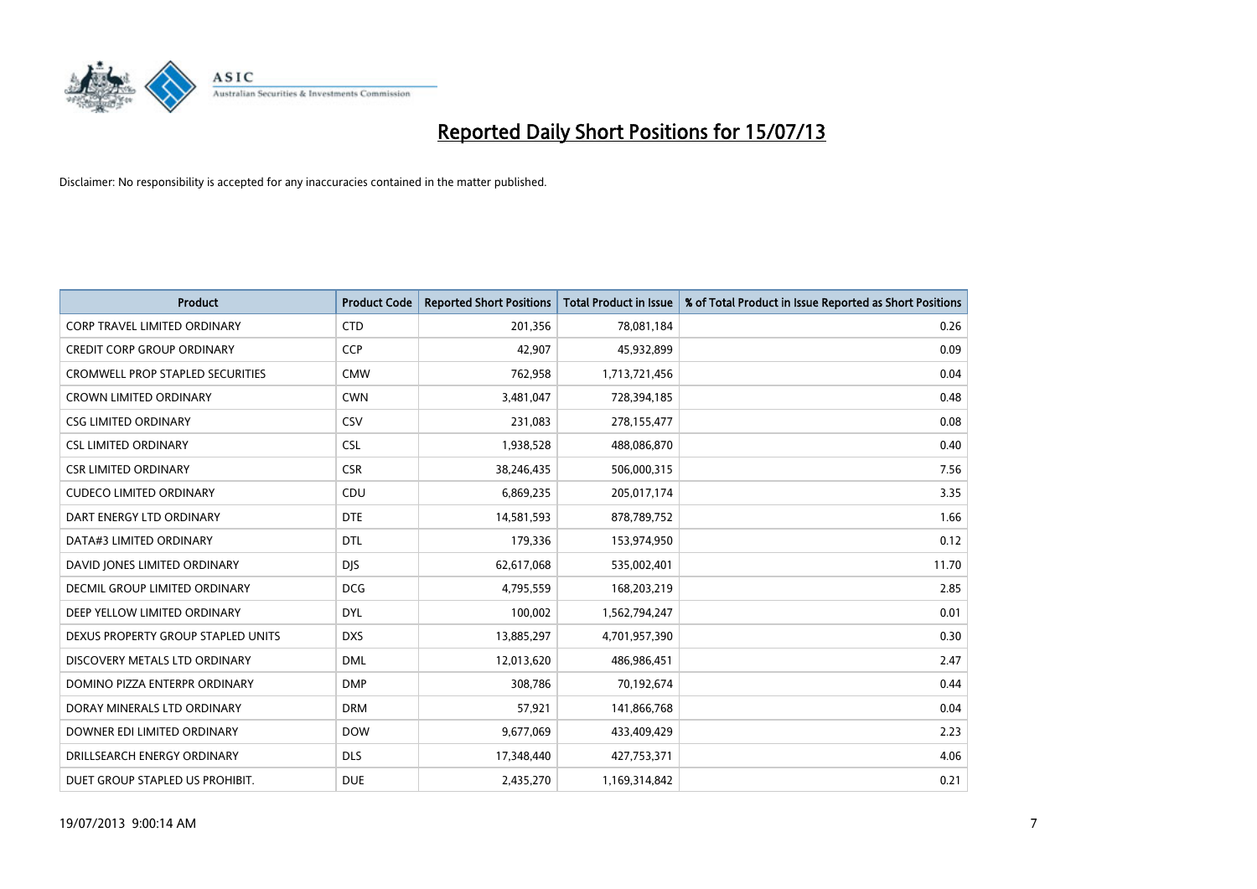

| <b>Product</b>                          | <b>Product Code</b> | <b>Reported Short Positions</b> | <b>Total Product in Issue</b> | % of Total Product in Issue Reported as Short Positions |
|-----------------------------------------|---------------------|---------------------------------|-------------------------------|---------------------------------------------------------|
| <b>CORP TRAVEL LIMITED ORDINARY</b>     | <b>CTD</b>          | 201,356                         | 78,081,184                    | 0.26                                                    |
| <b>CREDIT CORP GROUP ORDINARY</b>       | <b>CCP</b>          | 42,907                          | 45,932,899                    | 0.09                                                    |
| <b>CROMWELL PROP STAPLED SECURITIES</b> | <b>CMW</b>          | 762,958                         | 1,713,721,456                 | 0.04                                                    |
| <b>CROWN LIMITED ORDINARY</b>           | <b>CWN</b>          | 3,481,047                       | 728,394,185                   | 0.48                                                    |
| <b>CSG LIMITED ORDINARY</b>             | CSV                 | 231,083                         | 278,155,477                   | 0.08                                                    |
| <b>CSL LIMITED ORDINARY</b>             | <b>CSL</b>          | 1,938,528                       | 488,086,870                   | 0.40                                                    |
| <b>CSR LIMITED ORDINARY</b>             | <b>CSR</b>          | 38,246,435                      | 506,000,315                   | 7.56                                                    |
| <b>CUDECO LIMITED ORDINARY</b>          | CDU                 | 6,869,235                       | 205,017,174                   | 3.35                                                    |
| DART ENERGY LTD ORDINARY                | <b>DTE</b>          | 14,581,593                      | 878,789,752                   | 1.66                                                    |
| DATA#3 LIMITED ORDINARY                 | <b>DTL</b>          | 179,336                         | 153,974,950                   | 0.12                                                    |
| DAVID JONES LIMITED ORDINARY            | <b>DJS</b>          | 62,617,068                      | 535,002,401                   | 11.70                                                   |
| DECMIL GROUP LIMITED ORDINARY           | <b>DCG</b>          | 4,795,559                       | 168,203,219                   | 2.85                                                    |
| DEEP YELLOW LIMITED ORDINARY            | <b>DYL</b>          | 100,002                         | 1,562,794,247                 | 0.01                                                    |
| DEXUS PROPERTY GROUP STAPLED UNITS      | <b>DXS</b>          | 13,885,297                      | 4,701,957,390                 | 0.30                                                    |
| DISCOVERY METALS LTD ORDINARY           | <b>DML</b>          | 12,013,620                      | 486,986,451                   | 2.47                                                    |
| DOMINO PIZZA ENTERPR ORDINARY           | <b>DMP</b>          | 308,786                         | 70,192,674                    | 0.44                                                    |
| DORAY MINERALS LTD ORDINARY             | <b>DRM</b>          | 57,921                          | 141,866,768                   | 0.04                                                    |
| DOWNER EDI LIMITED ORDINARY             | <b>DOW</b>          | 9,677,069                       | 433,409,429                   | 2.23                                                    |
| DRILLSEARCH ENERGY ORDINARY             | <b>DLS</b>          | 17,348,440                      | 427,753,371                   | 4.06                                                    |
| DUET GROUP STAPLED US PROHIBIT.         | <b>DUE</b>          | 2,435,270                       | 1,169,314,842                 | 0.21                                                    |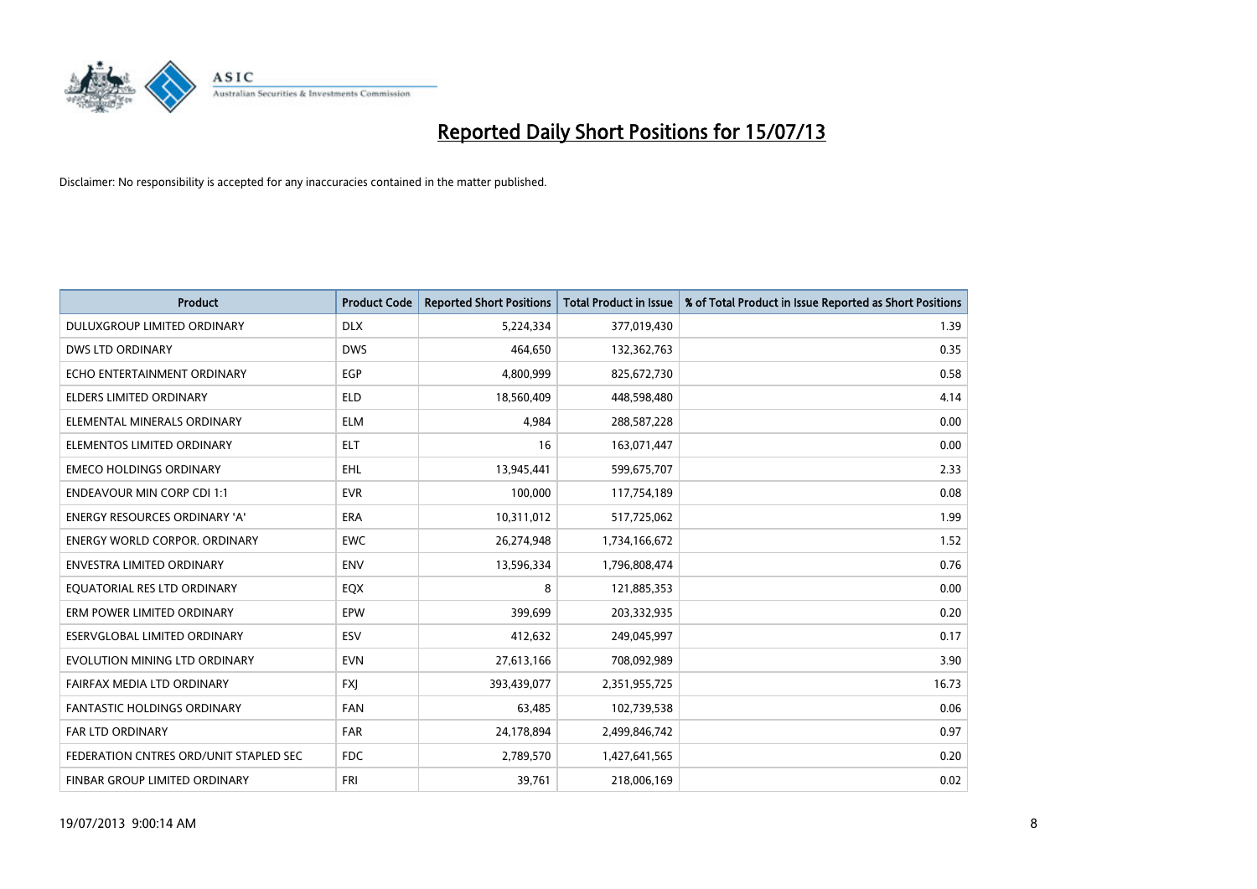

| <b>Product</b>                         | <b>Product Code</b> | <b>Reported Short Positions</b> | <b>Total Product in Issue</b> | % of Total Product in Issue Reported as Short Positions |
|----------------------------------------|---------------------|---------------------------------|-------------------------------|---------------------------------------------------------|
| DULUXGROUP LIMITED ORDINARY            | <b>DLX</b>          | 5,224,334                       | 377,019,430                   | 1.39                                                    |
| DWS LTD ORDINARY                       | <b>DWS</b>          | 464,650                         | 132,362,763                   | 0.35                                                    |
| ECHO ENTERTAINMENT ORDINARY            | <b>EGP</b>          | 4,800,999                       | 825,672,730                   | 0.58                                                    |
| <b>ELDERS LIMITED ORDINARY</b>         | <b>ELD</b>          | 18,560,409                      | 448,598,480                   | 4.14                                                    |
| ELEMENTAL MINERALS ORDINARY            | <b>ELM</b>          | 4,984                           | 288,587,228                   | 0.00                                                    |
| ELEMENTOS LIMITED ORDINARY             | <b>ELT</b>          | 16                              | 163,071,447                   | 0.00                                                    |
| <b>EMECO HOLDINGS ORDINARY</b>         | <b>EHL</b>          | 13,945,441                      | 599,675,707                   | 2.33                                                    |
| <b>ENDEAVOUR MIN CORP CDI 1:1</b>      | <b>EVR</b>          | 100,000                         | 117,754,189                   | 0.08                                                    |
| <b>ENERGY RESOURCES ORDINARY 'A'</b>   | <b>ERA</b>          | 10,311,012                      | 517,725,062                   | 1.99                                                    |
| <b>ENERGY WORLD CORPOR, ORDINARY</b>   | <b>EWC</b>          | 26,274,948                      | 1,734,166,672                 | 1.52                                                    |
| ENVESTRA LIMITED ORDINARY              | <b>ENV</b>          | 13,596,334                      | 1,796,808,474                 | 0.76                                                    |
| EQUATORIAL RES LTD ORDINARY            | EQX                 | 8                               | 121,885,353                   | 0.00                                                    |
| ERM POWER LIMITED ORDINARY             | EPW                 | 399,699                         | 203,332,935                   | 0.20                                                    |
| ESERVGLOBAL LIMITED ORDINARY           | ESV                 | 412,632                         | 249,045,997                   | 0.17                                                    |
| EVOLUTION MINING LTD ORDINARY          | <b>EVN</b>          | 27,613,166                      | 708,092,989                   | 3.90                                                    |
| FAIRFAX MEDIA LTD ORDINARY             | <b>FXI</b>          | 393,439,077                     | 2,351,955,725                 | 16.73                                                   |
| FANTASTIC HOLDINGS ORDINARY            | <b>FAN</b>          | 63,485                          | 102,739,538                   | 0.06                                                    |
| <b>FAR LTD ORDINARY</b>                | <b>FAR</b>          | 24,178,894                      | 2,499,846,742                 | 0.97                                                    |
| FEDERATION CNTRES ORD/UNIT STAPLED SEC | <b>FDC</b>          | 2,789,570                       | 1,427,641,565                 | 0.20                                                    |
| FINBAR GROUP LIMITED ORDINARY          | <b>FRI</b>          | 39,761                          | 218,006,169                   | 0.02                                                    |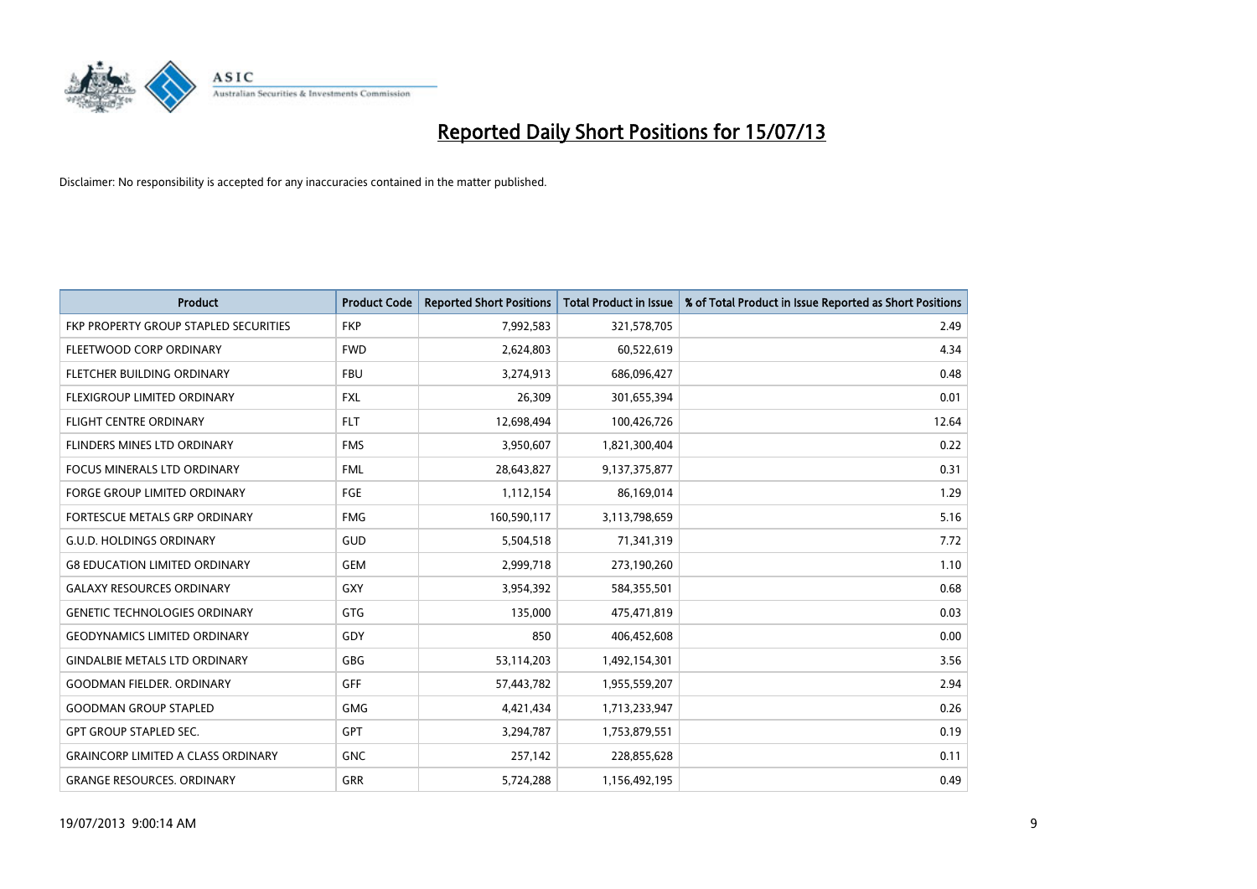

| <b>Product</b>                            | <b>Product Code</b> | <b>Reported Short Positions</b> | <b>Total Product in Issue</b> | % of Total Product in Issue Reported as Short Positions |
|-------------------------------------------|---------------------|---------------------------------|-------------------------------|---------------------------------------------------------|
| FKP PROPERTY GROUP STAPLED SECURITIES     | <b>FKP</b>          | 7,992,583                       | 321,578,705                   | 2.49                                                    |
| FLEETWOOD CORP ORDINARY                   | <b>FWD</b>          | 2,624,803                       | 60,522,619                    | 4.34                                                    |
| FLETCHER BUILDING ORDINARY                | <b>FBU</b>          | 3,274,913                       | 686,096,427                   | 0.48                                                    |
| FLEXIGROUP LIMITED ORDINARY               | FXL                 | 26,309                          | 301,655,394                   | 0.01                                                    |
| <b>FLIGHT CENTRE ORDINARY</b>             | <b>FLT</b>          | 12,698,494                      | 100,426,726                   | 12.64                                                   |
| FLINDERS MINES LTD ORDINARY               | <b>FMS</b>          | 3,950,607                       | 1,821,300,404                 | 0.22                                                    |
| <b>FOCUS MINERALS LTD ORDINARY</b>        | <b>FML</b>          | 28,643,827                      | 9,137,375,877                 | 0.31                                                    |
| <b>FORGE GROUP LIMITED ORDINARY</b>       | FGE                 | 1,112,154                       | 86,169,014                    | 1.29                                                    |
| FORTESCUE METALS GRP ORDINARY             | <b>FMG</b>          | 160,590,117                     | 3,113,798,659                 | 5.16                                                    |
| <b>G.U.D. HOLDINGS ORDINARY</b>           | GUD                 | 5,504,518                       | 71,341,319                    | 7.72                                                    |
| <b>G8 EDUCATION LIMITED ORDINARY</b>      | <b>GEM</b>          | 2,999,718                       | 273,190,260                   | 1.10                                                    |
| <b>GALAXY RESOURCES ORDINARY</b>          | <b>GXY</b>          | 3,954,392                       | 584,355,501                   | 0.68                                                    |
| <b>GENETIC TECHNOLOGIES ORDINARY</b>      | GTG                 | 135,000                         | 475,471,819                   | 0.03                                                    |
| <b>GEODYNAMICS LIMITED ORDINARY</b>       | GDY                 | 850                             | 406,452,608                   | 0.00                                                    |
| <b>GINDALBIE METALS LTD ORDINARY</b>      | <b>GBG</b>          | 53,114,203                      | 1,492,154,301                 | 3.56                                                    |
| <b>GOODMAN FIELDER. ORDINARY</b>          | GFF                 | 57,443,782                      | 1,955,559,207                 | 2.94                                                    |
| <b>GOODMAN GROUP STAPLED</b>              | <b>GMG</b>          | 4,421,434                       | 1,713,233,947                 | 0.26                                                    |
| <b>GPT GROUP STAPLED SEC.</b>             | <b>GPT</b>          | 3,294,787                       | 1,753,879,551                 | 0.19                                                    |
| <b>GRAINCORP LIMITED A CLASS ORDINARY</b> | <b>GNC</b>          | 257,142                         | 228,855,628                   | 0.11                                                    |
| <b>GRANGE RESOURCES. ORDINARY</b>         | GRR                 | 5,724,288                       | 1,156,492,195                 | 0.49                                                    |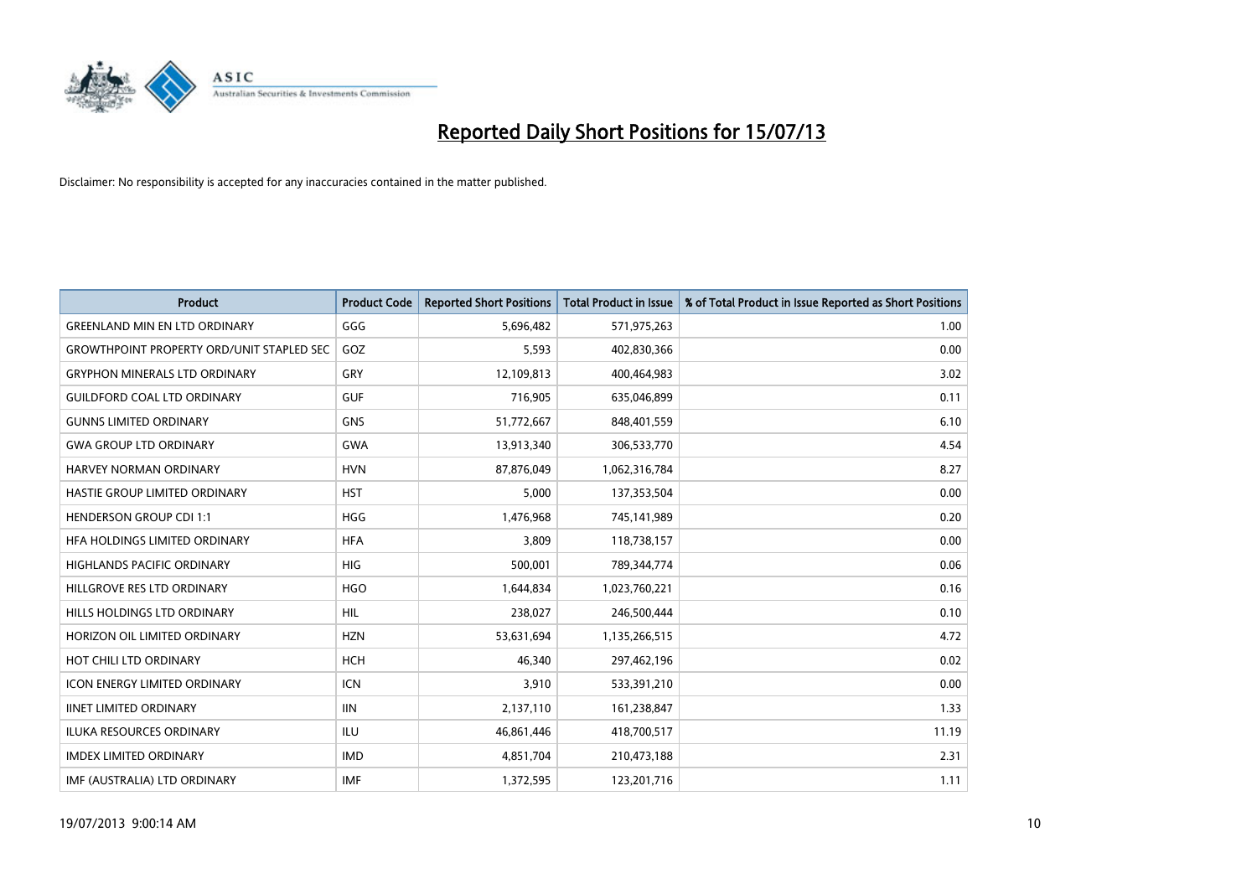

| <b>Product</b>                                   | <b>Product Code</b> | <b>Reported Short Positions</b> | <b>Total Product in Issue</b> | % of Total Product in Issue Reported as Short Positions |
|--------------------------------------------------|---------------------|---------------------------------|-------------------------------|---------------------------------------------------------|
| <b>GREENLAND MIN EN LTD ORDINARY</b>             | GGG                 | 5,696,482                       | 571,975,263                   | 1.00                                                    |
| <b>GROWTHPOINT PROPERTY ORD/UNIT STAPLED SEC</b> | GOZ                 | 5,593                           | 402,830,366                   | 0.00                                                    |
| <b>GRYPHON MINERALS LTD ORDINARY</b>             | GRY                 | 12,109,813                      | 400,464,983                   | 3.02                                                    |
| <b>GUILDFORD COAL LTD ORDINARY</b>               | <b>GUF</b>          | 716,905                         | 635,046,899                   | 0.11                                                    |
| <b>GUNNS LIMITED ORDINARY</b>                    | <b>GNS</b>          | 51,772,667                      | 848,401,559                   | 6.10                                                    |
| <b>GWA GROUP LTD ORDINARY</b>                    | <b>GWA</b>          | 13,913,340                      | 306,533,770                   | 4.54                                                    |
| <b>HARVEY NORMAN ORDINARY</b>                    | <b>HVN</b>          | 87,876,049                      | 1,062,316,784                 | 8.27                                                    |
| HASTIE GROUP LIMITED ORDINARY                    | <b>HST</b>          | 5,000                           | 137,353,504                   | 0.00                                                    |
| <b>HENDERSON GROUP CDI 1:1</b>                   | <b>HGG</b>          | 1,476,968                       | 745,141,989                   | 0.20                                                    |
| HEA HOLDINGS LIMITED ORDINARY                    | <b>HFA</b>          | 3,809                           | 118,738,157                   | 0.00                                                    |
| HIGHLANDS PACIFIC ORDINARY                       | <b>HIG</b>          | 500,001                         | 789,344,774                   | 0.06                                                    |
| HILLGROVE RES LTD ORDINARY                       | <b>HGO</b>          | 1,644,834                       | 1,023,760,221                 | 0.16                                                    |
| HILLS HOLDINGS LTD ORDINARY                      | <b>HIL</b>          | 238,027                         | 246,500,444                   | 0.10                                                    |
| HORIZON OIL LIMITED ORDINARY                     | <b>HZN</b>          | 53,631,694                      | 1,135,266,515                 | 4.72                                                    |
| HOT CHILI LTD ORDINARY                           | <b>HCH</b>          | 46,340                          | 297,462,196                   | 0.02                                                    |
| <b>ICON ENERGY LIMITED ORDINARY</b>              | <b>ICN</b>          | 3,910                           | 533,391,210                   | 0.00                                                    |
| <b>IINET LIMITED ORDINARY</b>                    | <b>IIN</b>          | 2,137,110                       | 161,238,847                   | 1.33                                                    |
| ILUKA RESOURCES ORDINARY                         | ILU                 | 46,861,446                      | 418,700,517                   | 11.19                                                   |
| <b>IMDEX LIMITED ORDINARY</b>                    | <b>IMD</b>          | 4,851,704                       | 210,473,188                   | 2.31                                                    |
| IMF (AUSTRALIA) LTD ORDINARY                     | <b>IMF</b>          | 1,372,595                       | 123,201,716                   | 1.11                                                    |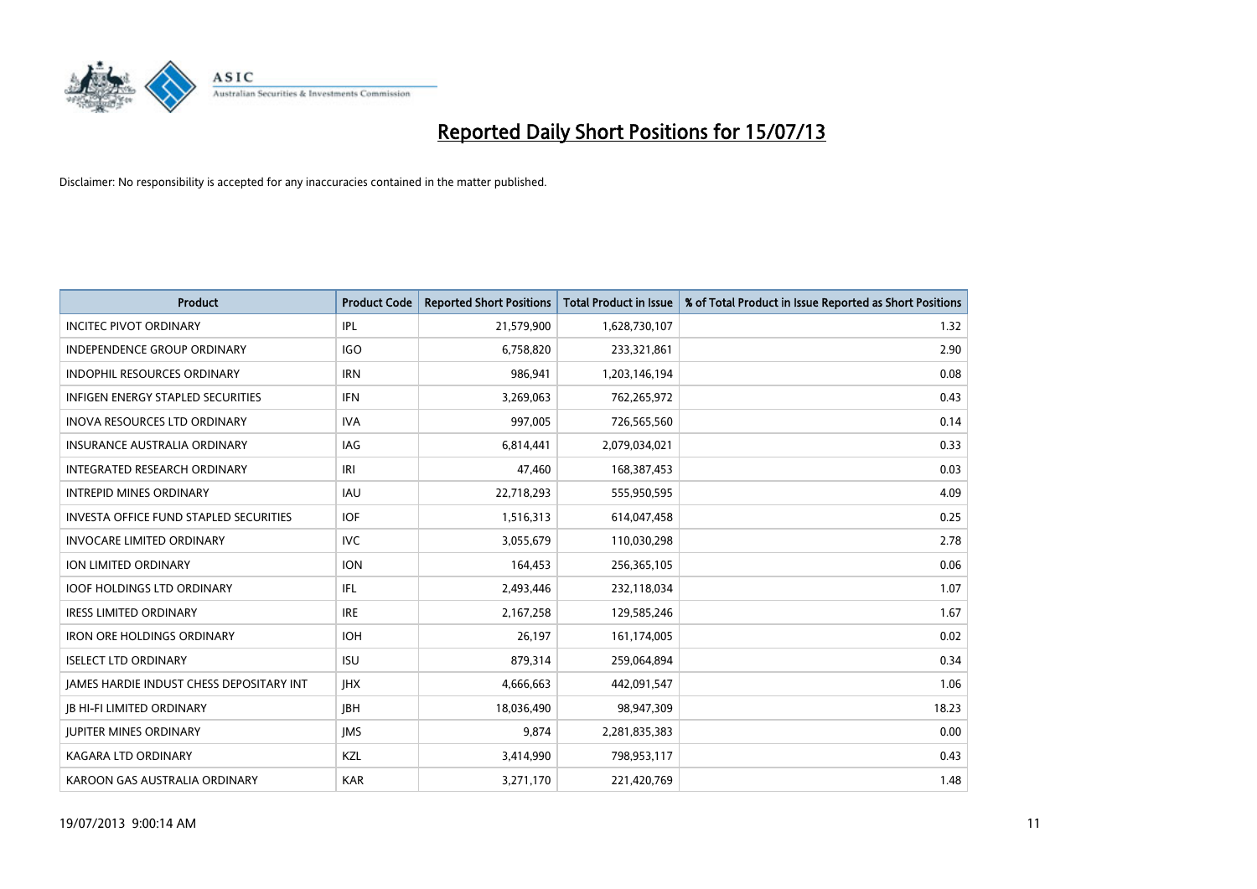

| <b>Product</b>                           | <b>Product Code</b> | <b>Reported Short Positions</b> | <b>Total Product in Issue</b> | % of Total Product in Issue Reported as Short Positions |
|------------------------------------------|---------------------|---------------------------------|-------------------------------|---------------------------------------------------------|
| <b>INCITEC PIVOT ORDINARY</b>            | IPL                 | 21,579,900                      | 1,628,730,107                 | 1.32                                                    |
| INDEPENDENCE GROUP ORDINARY              | <b>IGO</b>          | 6,758,820                       | 233,321,861                   | 2.90                                                    |
| <b>INDOPHIL RESOURCES ORDINARY</b>       | <b>IRN</b>          | 986,941                         | 1,203,146,194                 | 0.08                                                    |
| INFIGEN ENERGY STAPLED SECURITIES        | <b>IFN</b>          | 3,269,063                       | 762,265,972                   | 0.43                                                    |
| <b>INOVA RESOURCES LTD ORDINARY</b>      | <b>IVA</b>          | 997,005                         | 726,565,560                   | 0.14                                                    |
| <b>INSURANCE AUSTRALIA ORDINARY</b>      | IAG                 | 6,814,441                       | 2,079,034,021                 | 0.33                                                    |
| INTEGRATED RESEARCH ORDINARY             | IRI                 | 47,460                          | 168,387,453                   | 0.03                                                    |
| <b>INTREPID MINES ORDINARY</b>           | <b>IAU</b>          | 22,718,293                      | 555,950,595                   | 4.09                                                    |
| INVESTA OFFICE FUND STAPLED SECURITIES   | <b>IOF</b>          | 1,516,313                       | 614,047,458                   | 0.25                                                    |
| <b>INVOCARE LIMITED ORDINARY</b>         | <b>IVC</b>          | 3,055,679                       | 110,030,298                   | 2.78                                                    |
| ION LIMITED ORDINARY                     | <b>ION</b>          | 164,453                         | 256,365,105                   | 0.06                                                    |
| <b>IOOF HOLDINGS LTD ORDINARY</b>        | IFL                 | 2,493,446                       | 232,118,034                   | 1.07                                                    |
| <b>IRESS LIMITED ORDINARY</b>            | <b>IRE</b>          | 2,167,258                       | 129,585,246                   | 1.67                                                    |
| <b>IRON ORE HOLDINGS ORDINARY</b>        | <b>IOH</b>          | 26,197                          | 161,174,005                   | 0.02                                                    |
| <b>ISELECT LTD ORDINARY</b>              | <b>ISU</b>          | 879,314                         | 259,064,894                   | 0.34                                                    |
| JAMES HARDIE INDUST CHESS DEPOSITARY INT | <b>IHX</b>          | 4,666,663                       | 442,091,547                   | 1.06                                                    |
| <b>JB HI-FI LIMITED ORDINARY</b>         | <b>JBH</b>          | 18,036,490                      | 98,947,309                    | 18.23                                                   |
| <b>JUPITER MINES ORDINARY</b>            | <b>IMS</b>          | 9,874                           | 2,281,835,383                 | 0.00                                                    |
| KAGARA LTD ORDINARY                      | KZL                 | 3,414,990                       | 798,953,117                   | 0.43                                                    |
| KAROON GAS AUSTRALIA ORDINARY            | <b>KAR</b>          | 3,271,170                       | 221,420,769                   | 1.48                                                    |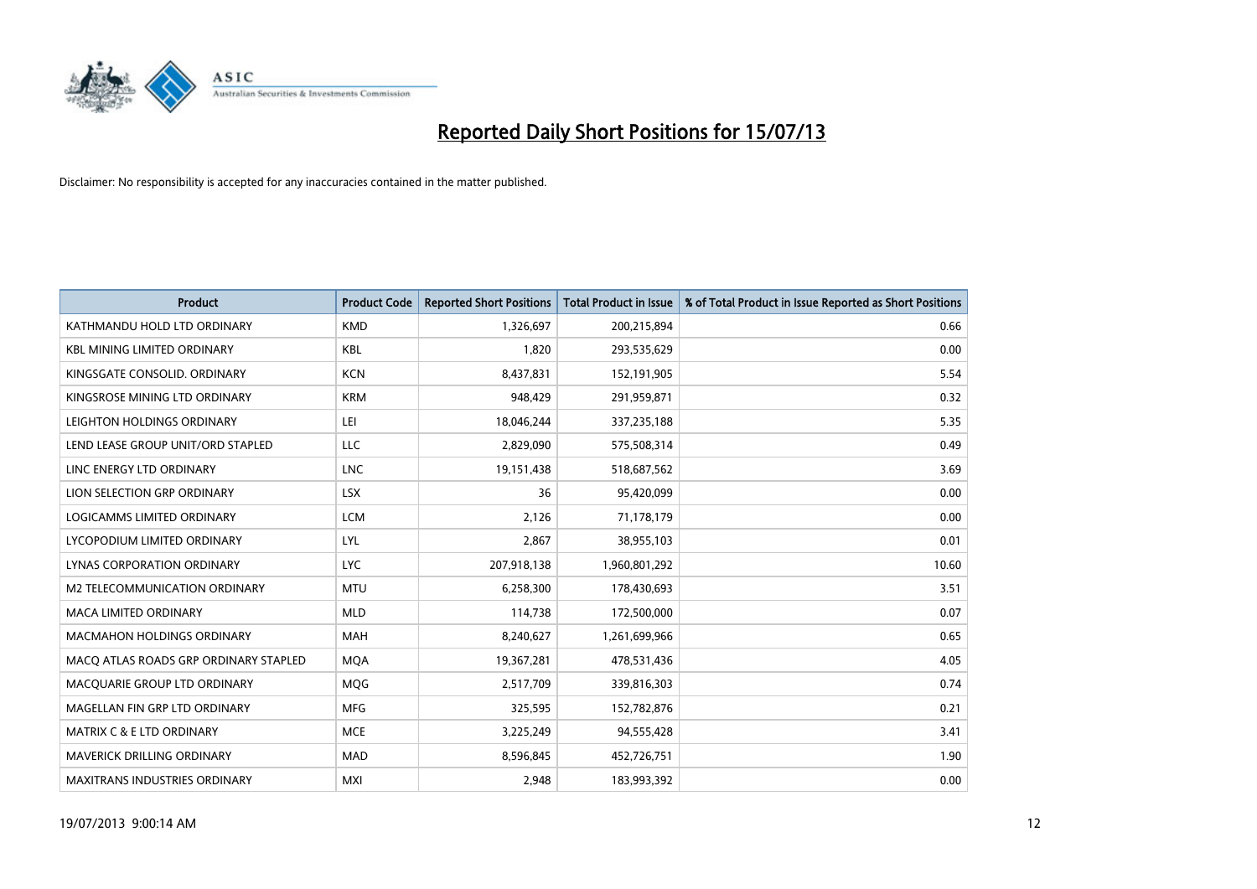

| <b>Product</b>                        | <b>Product Code</b> | <b>Reported Short Positions</b> | <b>Total Product in Issue</b> | % of Total Product in Issue Reported as Short Positions |
|---------------------------------------|---------------------|---------------------------------|-------------------------------|---------------------------------------------------------|
| KATHMANDU HOLD LTD ORDINARY           | <b>KMD</b>          | 1,326,697                       | 200,215,894                   | 0.66                                                    |
| <b>KBL MINING LIMITED ORDINARY</b>    | <b>KBL</b>          | 1,820                           | 293,535,629                   | 0.00                                                    |
| KINGSGATE CONSOLID. ORDINARY          | <b>KCN</b>          | 8,437,831                       | 152,191,905                   | 5.54                                                    |
| KINGSROSE MINING LTD ORDINARY         | <b>KRM</b>          | 948,429                         | 291,959,871                   | 0.32                                                    |
| LEIGHTON HOLDINGS ORDINARY            | LEI                 | 18,046,244                      | 337,235,188                   | 5.35                                                    |
| LEND LEASE GROUP UNIT/ORD STAPLED     | <b>LLC</b>          | 2,829,090                       | 575,508,314                   | 0.49                                                    |
| LINC ENERGY LTD ORDINARY              | <b>LNC</b>          | 19,151,438                      | 518,687,562                   | 3.69                                                    |
| LION SELECTION GRP ORDINARY           | <b>LSX</b>          | 36                              | 95,420,099                    | 0.00                                                    |
| LOGICAMMS LIMITED ORDINARY            | <b>LCM</b>          | 2,126                           | 71,178,179                    | 0.00                                                    |
| LYCOPODIUM LIMITED ORDINARY           | <b>LYL</b>          | 2,867                           | 38,955,103                    | 0.01                                                    |
| LYNAS CORPORATION ORDINARY            | <b>LYC</b>          | 207,918,138                     | 1,960,801,292                 | 10.60                                                   |
| <b>M2 TELECOMMUNICATION ORDINARY</b>  | <b>MTU</b>          | 6,258,300                       | 178,430,693                   | 3.51                                                    |
| <b>MACA LIMITED ORDINARY</b>          | <b>MLD</b>          | 114,738                         | 172,500,000                   | 0.07                                                    |
| <b>MACMAHON HOLDINGS ORDINARY</b>     | MAH                 | 8,240,627                       | 1,261,699,966                 | 0.65                                                    |
| MACO ATLAS ROADS GRP ORDINARY STAPLED | <b>MQA</b>          | 19,367,281                      | 478,531,436                   | 4.05                                                    |
| MACQUARIE GROUP LTD ORDINARY          | <b>MOG</b>          | 2,517,709                       | 339,816,303                   | 0.74                                                    |
| MAGELLAN FIN GRP LTD ORDINARY         | <b>MFG</b>          | 325,595                         | 152,782,876                   | 0.21                                                    |
| <b>MATRIX C &amp; E LTD ORDINARY</b>  | <b>MCE</b>          | 3,225,249                       | 94,555,428                    | 3.41                                                    |
| MAVERICK DRILLING ORDINARY            | <b>MAD</b>          | 8,596,845                       | 452,726,751                   | 1.90                                                    |
| <b>MAXITRANS INDUSTRIES ORDINARY</b>  | <b>MXI</b>          | 2,948                           | 183,993,392                   | 0.00                                                    |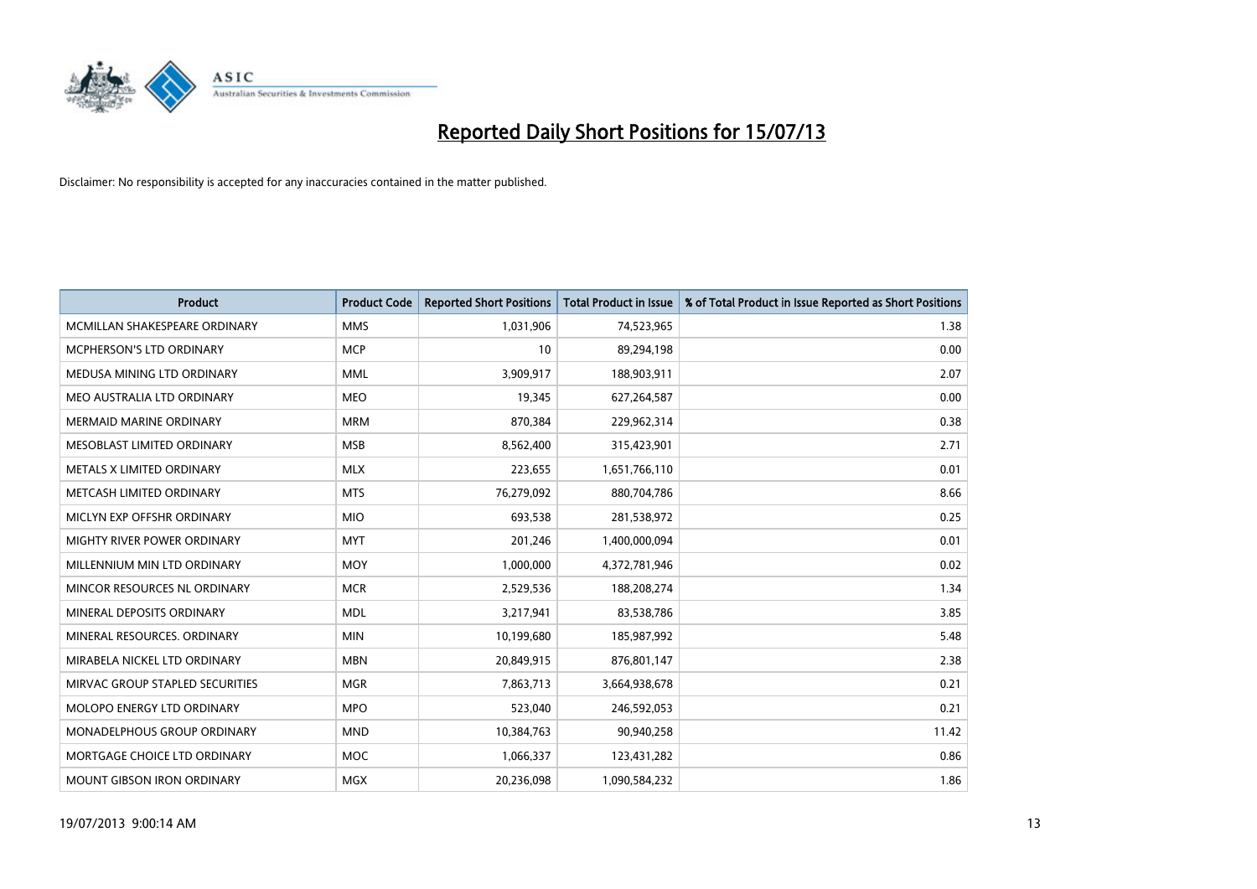

| <b>Product</b>                  | <b>Product Code</b> | <b>Reported Short Positions</b> | <b>Total Product in Issue</b> | % of Total Product in Issue Reported as Short Positions |
|---------------------------------|---------------------|---------------------------------|-------------------------------|---------------------------------------------------------|
| MCMILLAN SHAKESPEARE ORDINARY   | <b>MMS</b>          | 1,031,906                       | 74,523,965                    | 1.38                                                    |
| <b>MCPHERSON'S LTD ORDINARY</b> | <b>MCP</b>          | 10                              | 89,294,198                    | 0.00                                                    |
| MEDUSA MINING LTD ORDINARY      | <b>MML</b>          | 3,909,917                       | 188,903,911                   | 2.07                                                    |
| MEO AUSTRALIA LTD ORDINARY      | <b>MEO</b>          | 19,345                          | 627,264,587                   | 0.00                                                    |
| <b>MERMAID MARINE ORDINARY</b>  | <b>MRM</b>          | 870,384                         | 229,962,314                   | 0.38                                                    |
| MESOBLAST LIMITED ORDINARY      | <b>MSB</b>          | 8,562,400                       | 315,423,901                   | 2.71                                                    |
| METALS X LIMITED ORDINARY       | <b>MLX</b>          | 223,655                         | 1,651,766,110                 | 0.01                                                    |
| METCASH LIMITED ORDINARY        | <b>MTS</b>          | 76,279,092                      | 880,704,786                   | 8.66                                                    |
| MICLYN EXP OFFSHR ORDINARY      | <b>MIO</b>          | 693,538                         | 281,538,972                   | 0.25                                                    |
| MIGHTY RIVER POWER ORDINARY     | <b>MYT</b>          | 201,246                         | 1,400,000,094                 | 0.01                                                    |
| MILLENNIUM MIN LTD ORDINARY     | <b>MOY</b>          | 1,000,000                       | 4,372,781,946                 | 0.02                                                    |
| MINCOR RESOURCES NL ORDINARY    | <b>MCR</b>          | 2,529,536                       | 188,208,274                   | 1.34                                                    |
| MINERAL DEPOSITS ORDINARY       | <b>MDL</b>          | 3,217,941                       | 83,538,786                    | 3.85                                                    |
| MINERAL RESOURCES, ORDINARY     | <b>MIN</b>          | 10,199,680                      | 185,987,992                   | 5.48                                                    |
| MIRABELA NICKEL LTD ORDINARY    | <b>MBN</b>          | 20,849,915                      | 876,801,147                   | 2.38                                                    |
| MIRVAC GROUP STAPLED SECURITIES | <b>MGR</b>          | 7,863,713                       | 3,664,938,678                 | 0.21                                                    |
| MOLOPO ENERGY LTD ORDINARY      | <b>MPO</b>          | 523,040                         | 246,592,053                   | 0.21                                                    |
| MONADELPHOUS GROUP ORDINARY     | <b>MND</b>          | 10,384,763                      | 90,940,258                    | 11.42                                                   |
| MORTGAGE CHOICE LTD ORDINARY    | <b>MOC</b>          | 1,066,337                       | 123,431,282                   | 0.86                                                    |
| MOUNT GIBSON IRON ORDINARY      | <b>MGX</b>          | 20,236,098                      | 1,090,584,232                 | 1.86                                                    |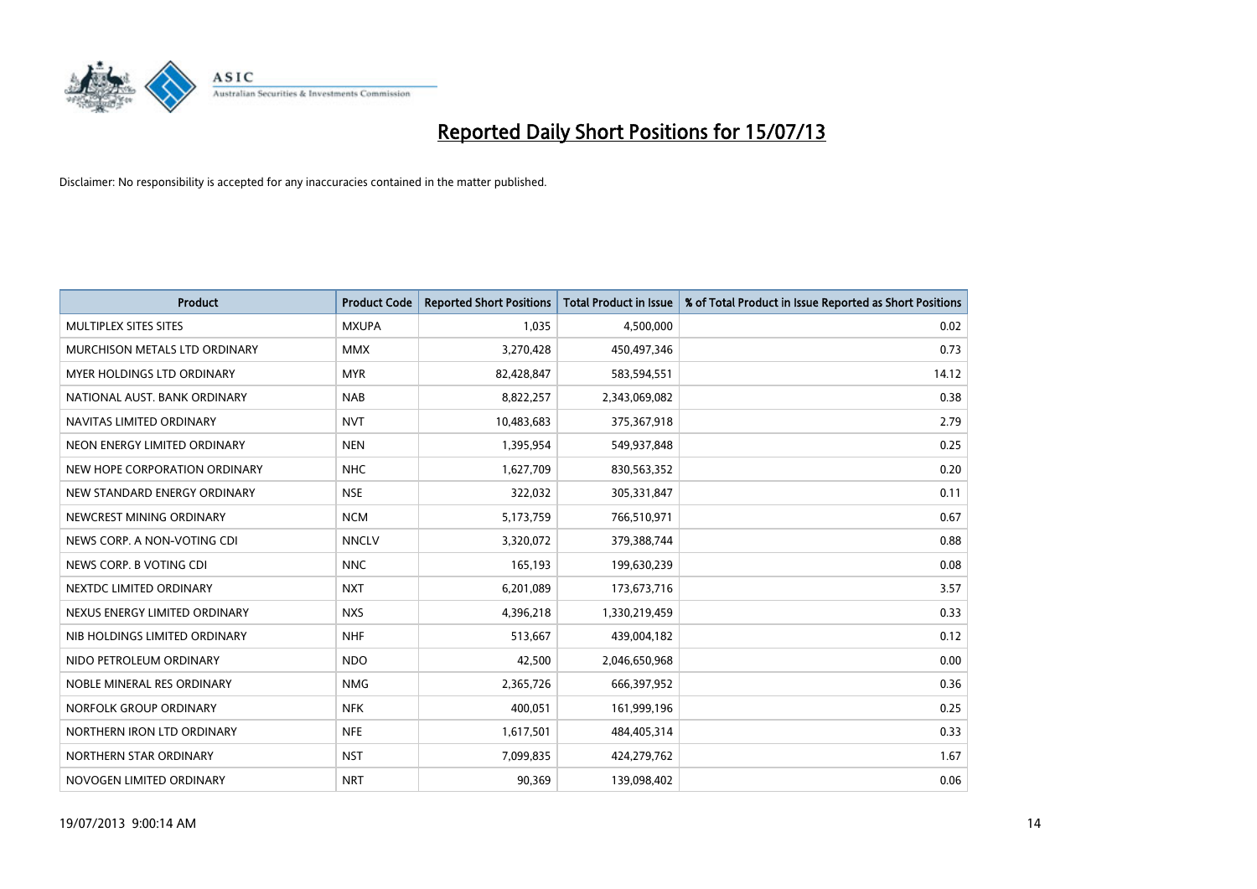

| <b>Product</b>                | <b>Product Code</b> | <b>Reported Short Positions</b> | <b>Total Product in Issue</b> | % of Total Product in Issue Reported as Short Positions |
|-------------------------------|---------------------|---------------------------------|-------------------------------|---------------------------------------------------------|
| MULTIPLEX SITES SITES         | <b>MXUPA</b>        | 1,035                           | 4,500,000                     | 0.02                                                    |
| MURCHISON METALS LTD ORDINARY | <b>MMX</b>          | 3,270,428                       | 450,497,346                   | 0.73                                                    |
| MYER HOLDINGS LTD ORDINARY    | <b>MYR</b>          | 82,428,847                      | 583,594,551                   | 14.12                                                   |
| NATIONAL AUST. BANK ORDINARY  | <b>NAB</b>          | 8,822,257                       | 2,343,069,082                 | 0.38                                                    |
| NAVITAS LIMITED ORDINARY      | <b>NVT</b>          | 10,483,683                      | 375,367,918                   | 2.79                                                    |
| NEON ENERGY LIMITED ORDINARY  | <b>NEN</b>          | 1,395,954                       | 549,937,848                   | 0.25                                                    |
| NEW HOPE CORPORATION ORDINARY | <b>NHC</b>          | 1,627,709                       | 830,563,352                   | 0.20                                                    |
| NEW STANDARD ENERGY ORDINARY  | <b>NSE</b>          | 322,032                         | 305,331,847                   | 0.11                                                    |
| NEWCREST MINING ORDINARY      | <b>NCM</b>          | 5,173,759                       | 766,510,971                   | 0.67                                                    |
| NEWS CORP. A NON-VOTING CDI   | <b>NNCLV</b>        | 3,320,072                       | 379,388,744                   | 0.88                                                    |
| NEWS CORP. B VOTING CDI       | <b>NNC</b>          | 165,193                         | 199,630,239                   | 0.08                                                    |
| NEXTDC LIMITED ORDINARY       | <b>NXT</b>          | 6,201,089                       | 173,673,716                   | 3.57                                                    |
| NEXUS ENERGY LIMITED ORDINARY | <b>NXS</b>          | 4,396,218                       | 1,330,219,459                 | 0.33                                                    |
| NIB HOLDINGS LIMITED ORDINARY | <b>NHF</b>          | 513,667                         | 439,004,182                   | 0.12                                                    |
| NIDO PETROLEUM ORDINARY       | <b>NDO</b>          | 42,500                          | 2,046,650,968                 | 0.00                                                    |
| NOBLE MINERAL RES ORDINARY    | <b>NMG</b>          | 2,365,726                       | 666,397,952                   | 0.36                                                    |
| NORFOLK GROUP ORDINARY        | <b>NFK</b>          | 400,051                         | 161,999,196                   | 0.25                                                    |
| NORTHERN IRON LTD ORDINARY    | <b>NFE</b>          | 1,617,501                       | 484,405,314                   | 0.33                                                    |
| NORTHERN STAR ORDINARY        | <b>NST</b>          | 7,099,835                       | 424,279,762                   | 1.67                                                    |
| NOVOGEN LIMITED ORDINARY      | <b>NRT</b>          | 90,369                          | 139,098,402                   | 0.06                                                    |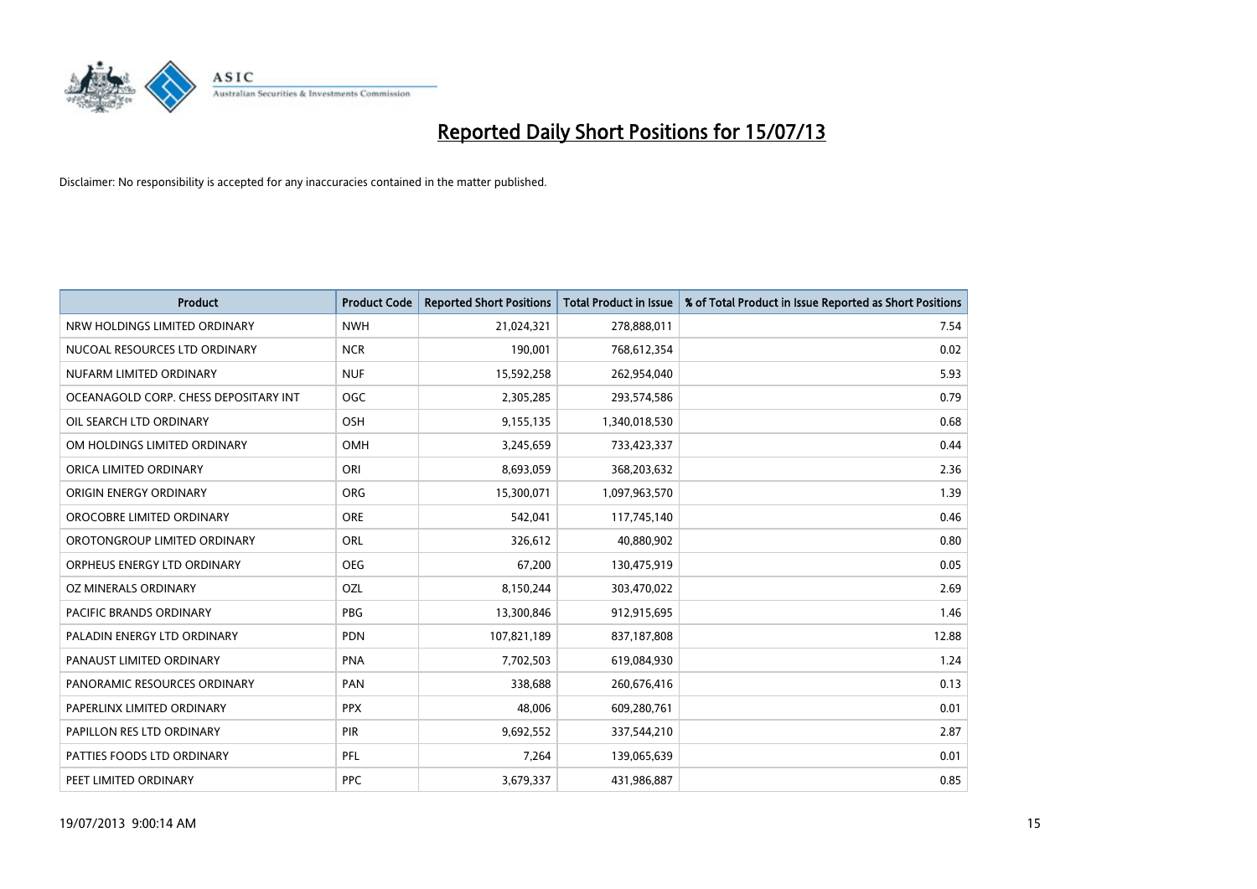

| <b>Product</b>                        | <b>Product Code</b> | <b>Reported Short Positions</b> | <b>Total Product in Issue</b> | % of Total Product in Issue Reported as Short Positions |
|---------------------------------------|---------------------|---------------------------------|-------------------------------|---------------------------------------------------------|
| NRW HOLDINGS LIMITED ORDINARY         | <b>NWH</b>          | 21,024,321                      | 278,888,011                   | 7.54                                                    |
| NUCOAL RESOURCES LTD ORDINARY         | <b>NCR</b>          | 190,001                         | 768,612,354                   | 0.02                                                    |
| NUFARM LIMITED ORDINARY               | <b>NUF</b>          | 15,592,258                      | 262,954,040                   | 5.93                                                    |
| OCEANAGOLD CORP. CHESS DEPOSITARY INT | <b>OGC</b>          | 2,305,285                       | 293,574,586                   | 0.79                                                    |
| OIL SEARCH LTD ORDINARY               | OSH                 | 9,155,135                       | 1,340,018,530                 | 0.68                                                    |
| OM HOLDINGS LIMITED ORDINARY          | OMH                 | 3,245,659                       | 733,423,337                   | 0.44                                                    |
| ORICA LIMITED ORDINARY                | ORI                 | 8,693,059                       | 368,203,632                   | 2.36                                                    |
| ORIGIN ENERGY ORDINARY                | ORG                 | 15,300,071                      | 1,097,963,570                 | 1.39                                                    |
| OROCOBRE LIMITED ORDINARY             | <b>ORE</b>          | 542,041                         | 117,745,140                   | 0.46                                                    |
| OROTONGROUP LIMITED ORDINARY          | ORL                 | 326,612                         | 40,880,902                    | 0.80                                                    |
| ORPHEUS ENERGY LTD ORDINARY           | <b>OEG</b>          | 67,200                          | 130,475,919                   | 0.05                                                    |
| OZ MINERALS ORDINARY                  | OZL                 | 8,150,244                       | 303,470,022                   | 2.69                                                    |
| <b>PACIFIC BRANDS ORDINARY</b>        | <b>PBG</b>          | 13,300,846                      | 912,915,695                   | 1.46                                                    |
| PALADIN ENERGY LTD ORDINARY           | <b>PDN</b>          | 107,821,189                     | 837,187,808                   | 12.88                                                   |
| PANAUST LIMITED ORDINARY              | <b>PNA</b>          | 7,702,503                       | 619,084,930                   | 1.24                                                    |
| PANORAMIC RESOURCES ORDINARY          | PAN                 | 338,688                         | 260,676,416                   | 0.13                                                    |
| PAPERLINX LIMITED ORDINARY            | <b>PPX</b>          | 48,006                          | 609,280,761                   | 0.01                                                    |
| PAPILLON RES LTD ORDINARY             | PIR                 | 9,692,552                       | 337,544,210                   | 2.87                                                    |
| PATTIES FOODS LTD ORDINARY            | <b>PFL</b>          | 7,264                           | 139,065,639                   | 0.01                                                    |
| PEET LIMITED ORDINARY                 | <b>PPC</b>          | 3,679,337                       | 431,986,887                   | 0.85                                                    |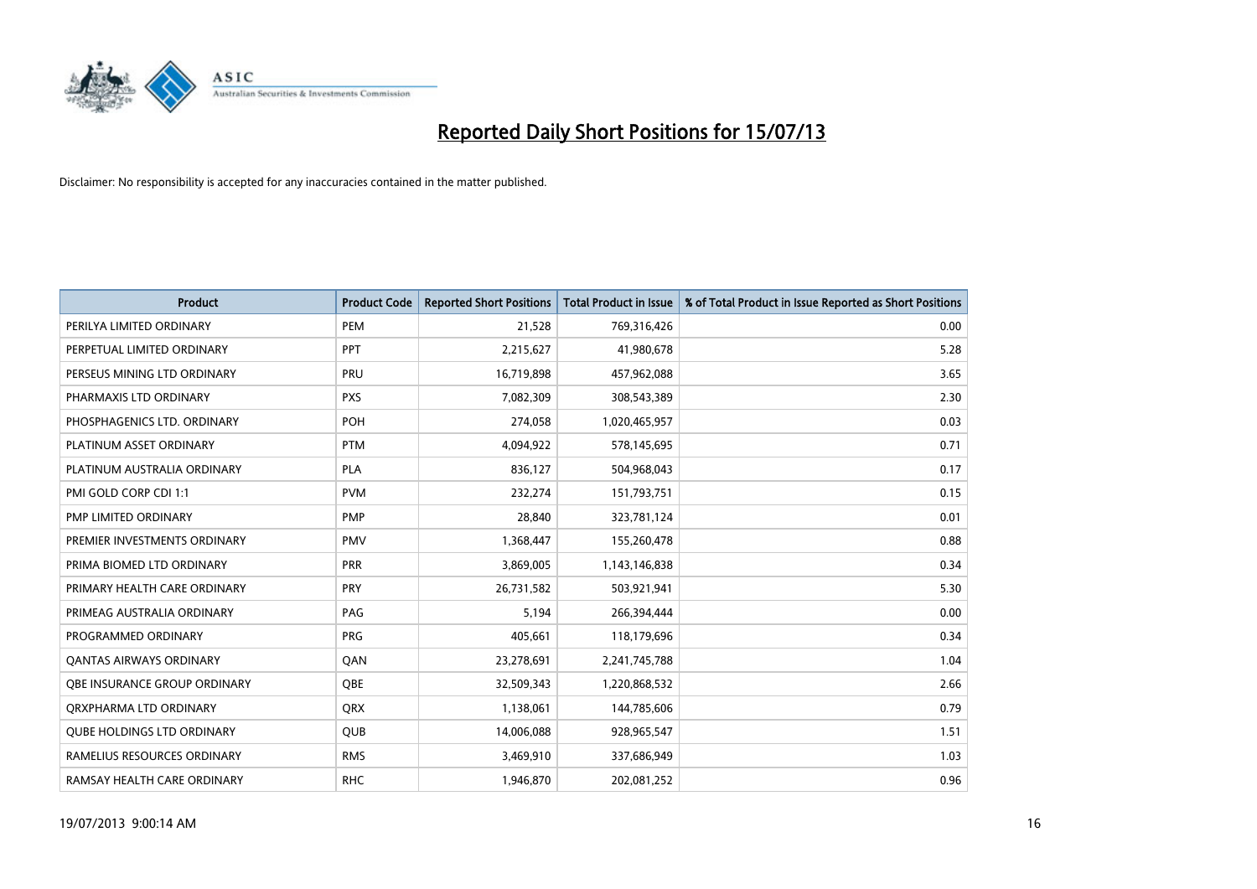

| <b>Product</b>                    | <b>Product Code</b> | <b>Reported Short Positions</b> | <b>Total Product in Issue</b> | % of Total Product in Issue Reported as Short Positions |
|-----------------------------------|---------------------|---------------------------------|-------------------------------|---------------------------------------------------------|
| PERILYA LIMITED ORDINARY          | PEM                 | 21,528                          | 769,316,426                   | 0.00                                                    |
| PERPETUAL LIMITED ORDINARY        | PPT                 | 2,215,627                       | 41,980,678                    | 5.28                                                    |
| PERSEUS MINING LTD ORDINARY       | <b>PRU</b>          | 16,719,898                      | 457,962,088                   | 3.65                                                    |
| PHARMAXIS LTD ORDINARY            | <b>PXS</b>          | 7,082,309                       | 308,543,389                   | 2.30                                                    |
| PHOSPHAGENICS LTD. ORDINARY       | POH                 | 274,058                         | 1,020,465,957                 | 0.03                                                    |
| PLATINUM ASSET ORDINARY           | <b>PTM</b>          | 4,094,922                       | 578,145,695                   | 0.71                                                    |
| PLATINUM AUSTRALIA ORDINARY       | <b>PLA</b>          | 836,127                         | 504,968,043                   | 0.17                                                    |
| PMI GOLD CORP CDI 1:1             | <b>PVM</b>          | 232,274                         | 151,793,751                   | 0.15                                                    |
| PMP LIMITED ORDINARY              | <b>PMP</b>          | 28,840                          | 323,781,124                   | 0.01                                                    |
| PREMIER INVESTMENTS ORDINARY      | <b>PMV</b>          | 1,368,447                       | 155,260,478                   | 0.88                                                    |
| PRIMA BIOMED LTD ORDINARY         | <b>PRR</b>          | 3,869,005                       | 1,143,146,838                 | 0.34                                                    |
| PRIMARY HEALTH CARE ORDINARY      | <b>PRY</b>          | 26,731,582                      | 503,921,941                   | 5.30                                                    |
| PRIMEAG AUSTRALIA ORDINARY        | PAG                 | 5,194                           | 266,394,444                   | 0.00                                                    |
| PROGRAMMED ORDINARY               | <b>PRG</b>          | 405,661                         | 118,179,696                   | 0.34                                                    |
| <b>QANTAS AIRWAYS ORDINARY</b>    | QAN                 | 23,278,691                      | 2,241,745,788                 | 1.04                                                    |
| OBE INSURANCE GROUP ORDINARY      | QBE                 | 32,509,343                      | 1,220,868,532                 | 2.66                                                    |
| ORXPHARMA LTD ORDINARY            | QRX                 | 1,138,061                       | 144,785,606                   | 0.79                                                    |
| <b>QUBE HOLDINGS LTD ORDINARY</b> | <b>QUB</b>          | 14,006,088                      | 928,965,547                   | 1.51                                                    |
| RAMELIUS RESOURCES ORDINARY       | <b>RMS</b>          | 3,469,910                       | 337,686,949                   | 1.03                                                    |
| RAMSAY HEALTH CARE ORDINARY       | <b>RHC</b>          | 1,946,870                       | 202,081,252                   | 0.96                                                    |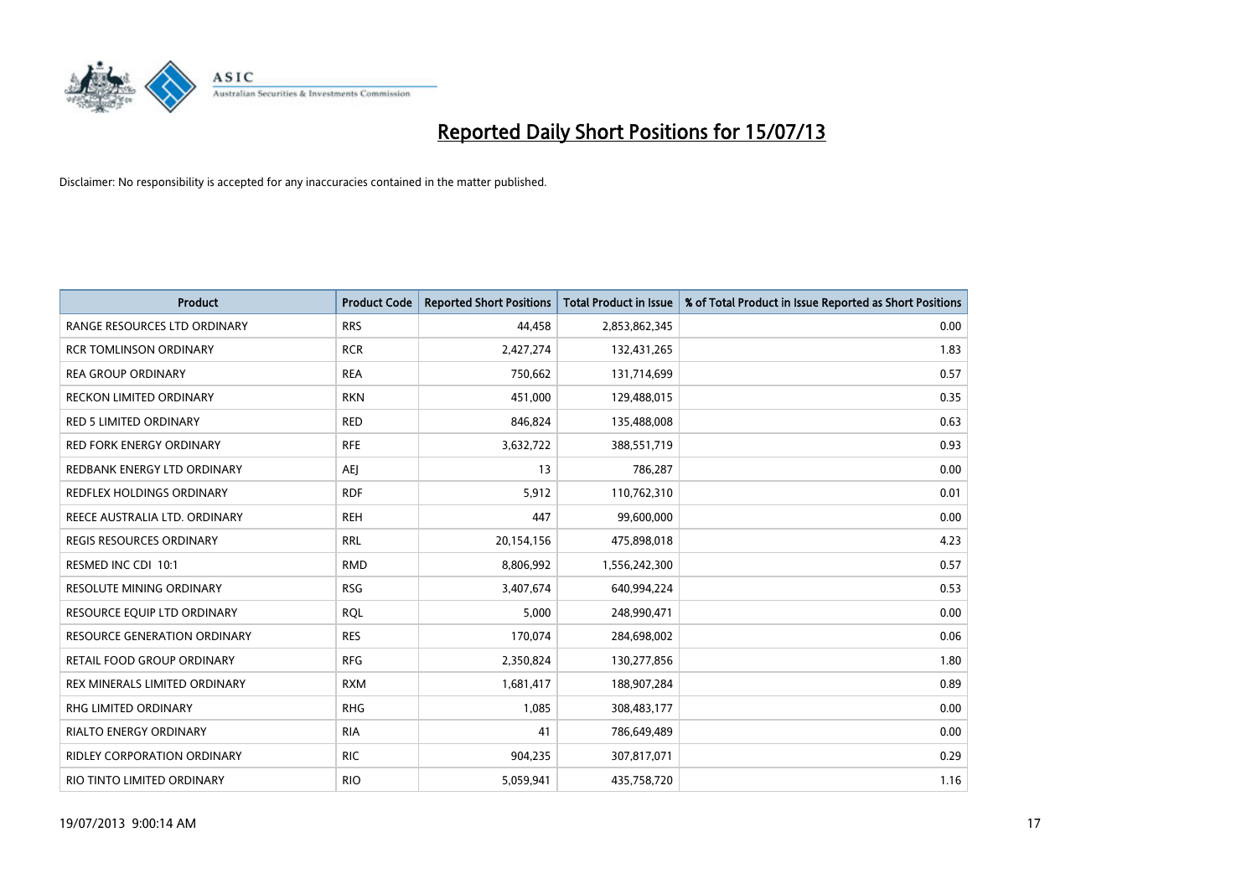

| <b>Product</b>                      | <b>Product Code</b> | <b>Reported Short Positions</b> | <b>Total Product in Issue</b> | % of Total Product in Issue Reported as Short Positions |
|-------------------------------------|---------------------|---------------------------------|-------------------------------|---------------------------------------------------------|
| RANGE RESOURCES LTD ORDINARY        | <b>RRS</b>          | 44,458                          | 2,853,862,345                 | 0.00                                                    |
| <b>RCR TOMLINSON ORDINARY</b>       | <b>RCR</b>          | 2,427,274                       | 132,431,265                   | 1.83                                                    |
| <b>REA GROUP ORDINARY</b>           | <b>REA</b>          | 750,662                         | 131,714,699                   | 0.57                                                    |
| <b>RECKON LIMITED ORDINARY</b>      | <b>RKN</b>          | 451,000                         | 129,488,015                   | 0.35                                                    |
| <b>RED 5 LIMITED ORDINARY</b>       | <b>RED</b>          | 846,824                         | 135,488,008                   | 0.63                                                    |
| <b>RED FORK ENERGY ORDINARY</b>     | <b>RFE</b>          | 3,632,722                       | 388,551,719                   | 0.93                                                    |
| REDBANK ENERGY LTD ORDINARY         | <b>AEJ</b>          | 13                              | 786,287                       | 0.00                                                    |
| REDFLEX HOLDINGS ORDINARY           | <b>RDF</b>          | 5,912                           | 110,762,310                   | 0.01                                                    |
| REECE AUSTRALIA LTD. ORDINARY       | <b>REH</b>          | 447                             | 99,600,000                    | 0.00                                                    |
| <b>REGIS RESOURCES ORDINARY</b>     | <b>RRL</b>          | 20,154,156                      | 475,898,018                   | 4.23                                                    |
| RESMED INC CDI 10:1                 | <b>RMD</b>          | 8,806,992                       | 1,556,242,300                 | 0.57                                                    |
| RESOLUTE MINING ORDINARY            | <b>RSG</b>          | 3,407,674                       | 640,994,224                   | 0.53                                                    |
| RESOURCE EQUIP LTD ORDINARY         | <b>RQL</b>          | 5,000                           | 248,990,471                   | 0.00                                                    |
| <b>RESOURCE GENERATION ORDINARY</b> | <b>RES</b>          | 170,074                         | 284,698,002                   | 0.06                                                    |
| RETAIL FOOD GROUP ORDINARY          | <b>RFG</b>          | 2,350,824                       | 130,277,856                   | 1.80                                                    |
| REX MINERALS LIMITED ORDINARY       | <b>RXM</b>          | 1,681,417                       | 188,907,284                   | 0.89                                                    |
| RHG LIMITED ORDINARY                | <b>RHG</b>          | 1,085                           | 308,483,177                   | 0.00                                                    |
| <b>RIALTO ENERGY ORDINARY</b>       | <b>RIA</b>          | 41                              | 786,649,489                   | 0.00                                                    |
| <b>RIDLEY CORPORATION ORDINARY</b>  | <b>RIC</b>          | 904,235                         | 307,817,071                   | 0.29                                                    |
| RIO TINTO LIMITED ORDINARY          | <b>RIO</b>          | 5,059,941                       | 435,758,720                   | 1.16                                                    |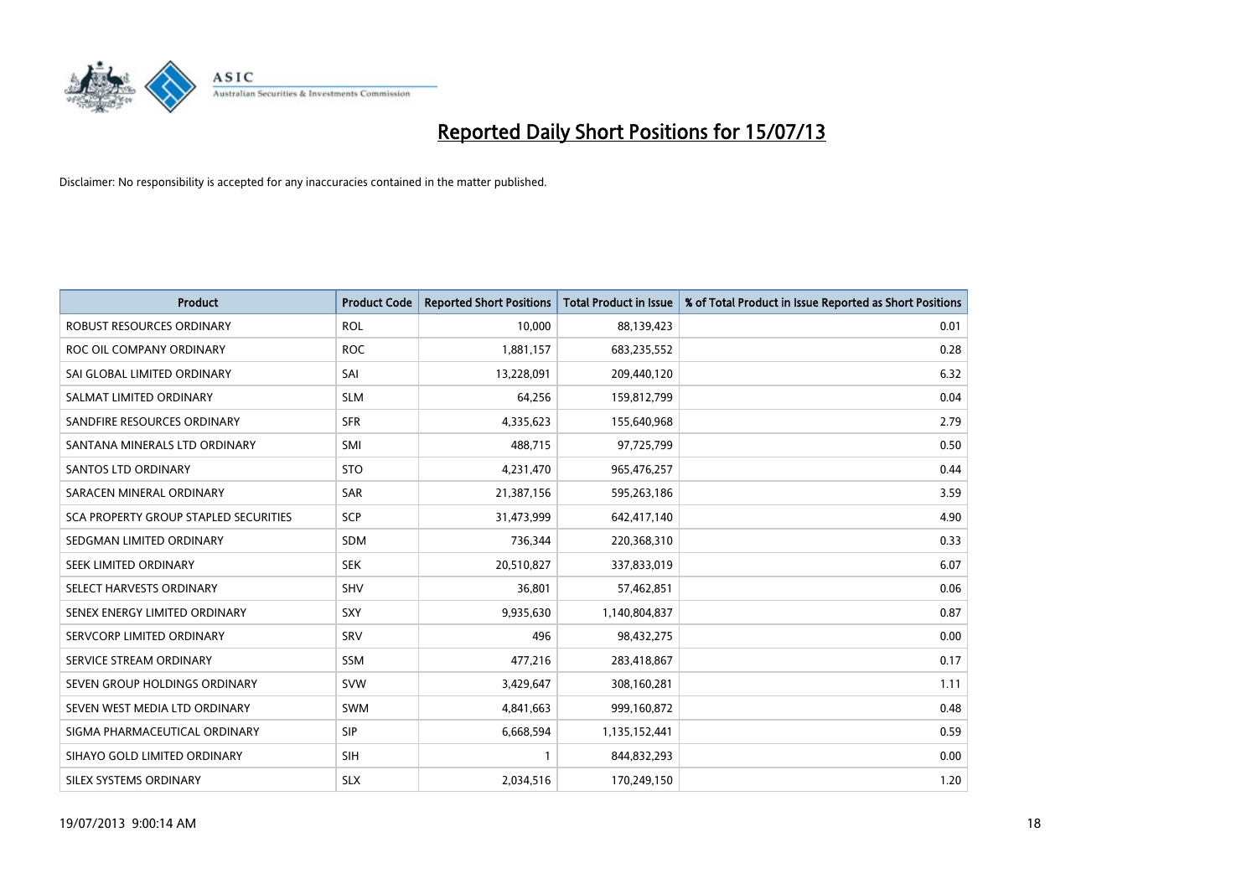

| <b>Product</b>                        | <b>Product Code</b> | <b>Reported Short Positions</b> | <b>Total Product in Issue</b> | % of Total Product in Issue Reported as Short Positions |
|---------------------------------------|---------------------|---------------------------------|-------------------------------|---------------------------------------------------------|
| <b>ROBUST RESOURCES ORDINARY</b>      | <b>ROL</b>          | 10,000                          | 88,139,423                    | 0.01                                                    |
| ROC OIL COMPANY ORDINARY              | <b>ROC</b>          | 1,881,157                       | 683,235,552                   | 0.28                                                    |
| SAI GLOBAL LIMITED ORDINARY           | SAI                 | 13,228,091                      | 209,440,120                   | 6.32                                                    |
| SALMAT LIMITED ORDINARY               | <b>SLM</b>          | 64,256                          | 159,812,799                   | 0.04                                                    |
| SANDFIRE RESOURCES ORDINARY           | <b>SFR</b>          | 4,335,623                       | 155,640,968                   | 2.79                                                    |
| SANTANA MINERALS LTD ORDINARY         | SMI                 | 488,715                         | 97,725,799                    | 0.50                                                    |
| <b>SANTOS LTD ORDINARY</b>            | <b>STO</b>          | 4,231,470                       | 965,476,257                   | 0.44                                                    |
| SARACEN MINERAL ORDINARY              | <b>SAR</b>          | 21,387,156                      | 595,263,186                   | 3.59                                                    |
| SCA PROPERTY GROUP STAPLED SECURITIES | <b>SCP</b>          | 31,473,999                      | 642,417,140                   | 4.90                                                    |
| SEDGMAN LIMITED ORDINARY              | <b>SDM</b>          | 736,344                         | 220,368,310                   | 0.33                                                    |
| SEEK LIMITED ORDINARY                 | <b>SEK</b>          | 20,510,827                      | 337,833,019                   | 6.07                                                    |
| SELECT HARVESTS ORDINARY              | SHV                 | 36,801                          | 57,462,851                    | 0.06                                                    |
| SENEX ENERGY LIMITED ORDINARY         | <b>SXY</b>          | 9,935,630                       | 1,140,804,837                 | 0.87                                                    |
| SERVCORP LIMITED ORDINARY             | SRV                 | 496                             | 98,432,275                    | 0.00                                                    |
| SERVICE STREAM ORDINARY               | <b>SSM</b>          | 477,216                         | 283,418,867                   | 0.17                                                    |
| SEVEN GROUP HOLDINGS ORDINARY         | <b>SVW</b>          | 3,429,647                       | 308,160,281                   | 1.11                                                    |
| SEVEN WEST MEDIA LTD ORDINARY         | SWM                 | 4,841,663                       | 999,160,872                   | 0.48                                                    |
| SIGMA PHARMACEUTICAL ORDINARY         | <b>SIP</b>          | 6,668,594                       | 1,135,152,441                 | 0.59                                                    |
| SIHAYO GOLD LIMITED ORDINARY          | <b>SIH</b>          | 1                               | 844,832,293                   | 0.00                                                    |
| SILEX SYSTEMS ORDINARY                | <b>SLX</b>          | 2,034,516                       | 170,249,150                   | 1.20                                                    |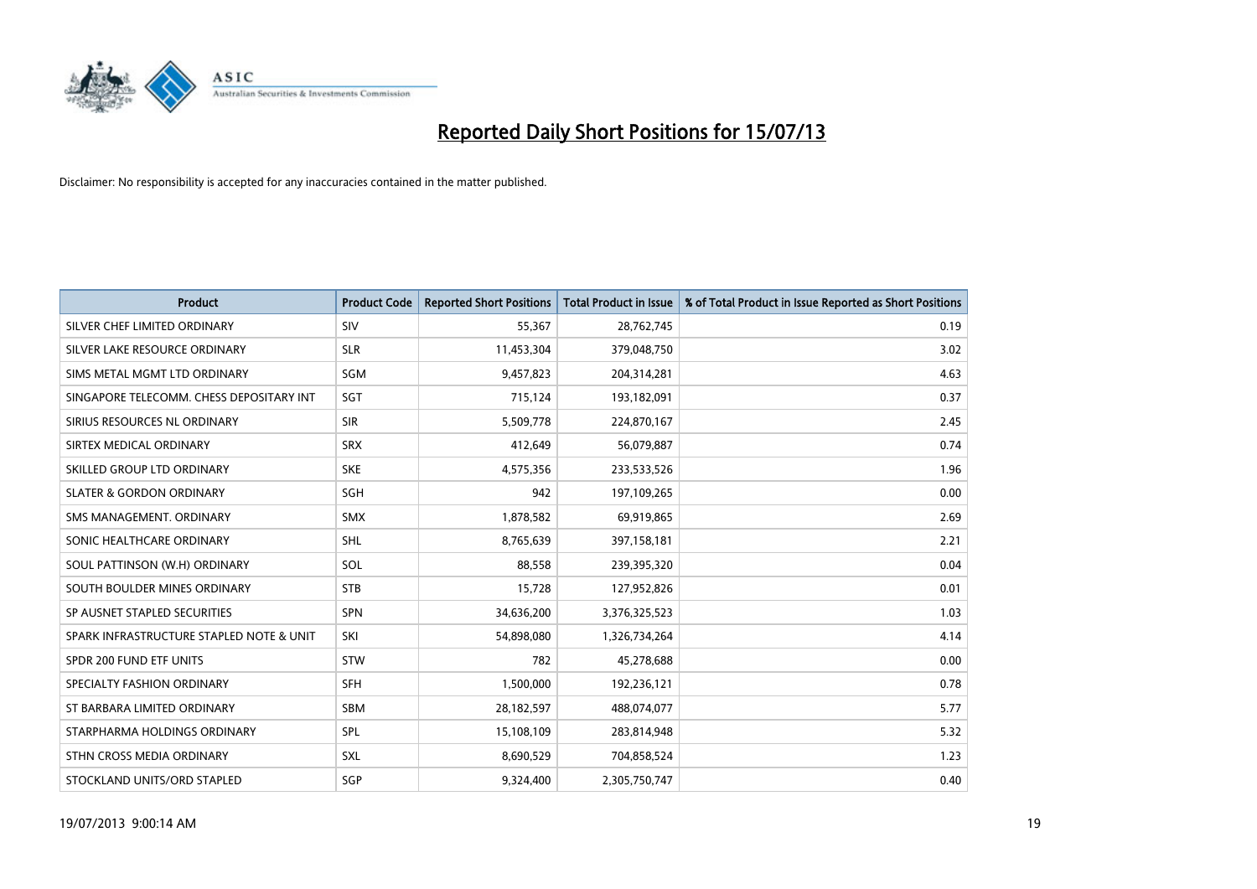

| <b>Product</b>                           | <b>Product Code</b> | <b>Reported Short Positions</b> | <b>Total Product in Issue</b> | % of Total Product in Issue Reported as Short Positions |
|------------------------------------------|---------------------|---------------------------------|-------------------------------|---------------------------------------------------------|
| SILVER CHEF LIMITED ORDINARY             | SIV                 | 55,367                          | 28,762,745                    | 0.19                                                    |
| SILVER LAKE RESOURCE ORDINARY            | <b>SLR</b>          | 11,453,304                      | 379,048,750                   | 3.02                                                    |
| SIMS METAL MGMT LTD ORDINARY             | SGM                 | 9,457,823                       | 204,314,281                   | 4.63                                                    |
| SINGAPORE TELECOMM. CHESS DEPOSITARY INT | SGT                 | 715,124                         | 193,182,091                   | 0.37                                                    |
| SIRIUS RESOURCES NL ORDINARY             | <b>SIR</b>          | 5,509,778                       | 224,870,167                   | 2.45                                                    |
| SIRTEX MEDICAL ORDINARY                  | <b>SRX</b>          | 412,649                         | 56,079,887                    | 0.74                                                    |
| SKILLED GROUP LTD ORDINARY               | <b>SKE</b>          | 4,575,356                       | 233,533,526                   | 1.96                                                    |
| <b>SLATER &amp; GORDON ORDINARY</b>      | SGH                 | 942                             | 197,109,265                   | 0.00                                                    |
| SMS MANAGEMENT, ORDINARY                 | <b>SMX</b>          | 1,878,582                       | 69,919,865                    | 2.69                                                    |
| SONIC HEALTHCARE ORDINARY                | <b>SHL</b>          | 8,765,639                       | 397,158,181                   | 2.21                                                    |
| SOUL PATTINSON (W.H) ORDINARY            | SOL                 | 88,558                          | 239,395,320                   | 0.04                                                    |
| SOUTH BOULDER MINES ORDINARY             | <b>STB</b>          | 15,728                          | 127,952,826                   | 0.01                                                    |
| SP AUSNET STAPLED SECURITIES             | <b>SPN</b>          | 34,636,200                      | 3,376,325,523                 | 1.03                                                    |
| SPARK INFRASTRUCTURE STAPLED NOTE & UNIT | SKI                 | 54,898,080                      | 1,326,734,264                 | 4.14                                                    |
| SPDR 200 FUND ETF UNITS                  | <b>STW</b>          | 782                             | 45,278,688                    | 0.00                                                    |
| SPECIALTY FASHION ORDINARY               | <b>SFH</b>          | 1,500,000                       | 192,236,121                   | 0.78                                                    |
| ST BARBARA LIMITED ORDINARY              | SBM                 | 28,182,597                      | 488,074,077                   | 5.77                                                    |
| STARPHARMA HOLDINGS ORDINARY             | <b>SPL</b>          | 15,108,109                      | 283,814,948                   | 5.32                                                    |
| STHN CROSS MEDIA ORDINARY                | SXL                 | 8,690,529                       | 704,858,524                   | 1.23                                                    |
| STOCKLAND UNITS/ORD STAPLED              | SGP                 | 9,324,400                       | 2,305,750,747                 | 0.40                                                    |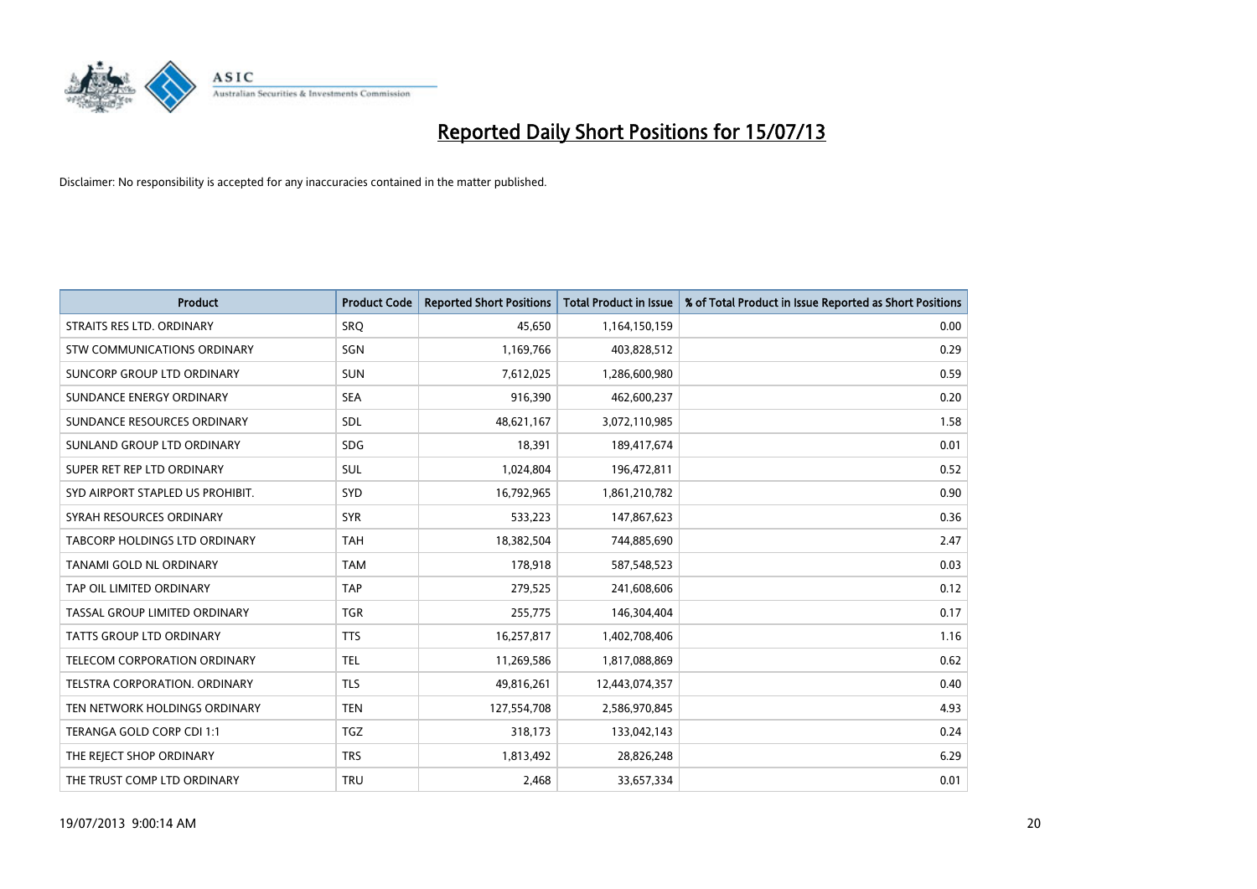

| <b>Product</b>                       | <b>Product Code</b> | <b>Reported Short Positions</b> | <b>Total Product in Issue</b> | % of Total Product in Issue Reported as Short Positions |
|--------------------------------------|---------------------|---------------------------------|-------------------------------|---------------------------------------------------------|
| STRAITS RES LTD. ORDINARY            | SRO                 | 45,650                          | 1,164,150,159                 | 0.00                                                    |
| STW COMMUNICATIONS ORDINARY          | SGN                 | 1,169,766                       | 403,828,512                   | 0.29                                                    |
| SUNCORP GROUP LTD ORDINARY           | <b>SUN</b>          | 7,612,025                       | 1,286,600,980                 | 0.59                                                    |
| SUNDANCE ENERGY ORDINARY             | <b>SEA</b>          | 916,390                         | 462,600,237                   | 0.20                                                    |
| SUNDANCE RESOURCES ORDINARY          | SDL                 | 48,621,167                      | 3,072,110,985                 | 1.58                                                    |
| SUNLAND GROUP LTD ORDINARY           | <b>SDG</b>          | 18,391                          | 189,417,674                   | 0.01                                                    |
| SUPER RET REP LTD ORDINARY           | SUL                 | 1,024,804                       | 196,472,811                   | 0.52                                                    |
| SYD AIRPORT STAPLED US PROHIBIT.     | <b>SYD</b>          | 16,792,965                      | 1,861,210,782                 | 0.90                                                    |
| SYRAH RESOURCES ORDINARY             | <b>SYR</b>          | 533,223                         | 147,867,623                   | 0.36                                                    |
| TABCORP HOLDINGS LTD ORDINARY        | <b>TAH</b>          | 18,382,504                      | 744,885,690                   | 2.47                                                    |
| TANAMI GOLD NL ORDINARY              | <b>TAM</b>          | 178,918                         | 587,548,523                   | 0.03                                                    |
| TAP OIL LIMITED ORDINARY             | <b>TAP</b>          | 279,525                         | 241,608,606                   | 0.12                                                    |
| TASSAL GROUP LIMITED ORDINARY        | <b>TGR</b>          | 255,775                         | 146,304,404                   | 0.17                                                    |
| <b>TATTS GROUP LTD ORDINARY</b>      | <b>TTS</b>          | 16,257,817                      | 1,402,708,406                 | 1.16                                                    |
| TELECOM CORPORATION ORDINARY         | <b>TEL</b>          | 11,269,586                      | 1,817,088,869                 | 0.62                                                    |
| <b>TELSTRA CORPORATION, ORDINARY</b> | <b>TLS</b>          | 49,816,261                      | 12,443,074,357                | 0.40                                                    |
| TEN NETWORK HOLDINGS ORDINARY        | <b>TEN</b>          | 127,554,708                     | 2,586,970,845                 | 4.93                                                    |
| TERANGA GOLD CORP CDI 1:1            | <b>TGZ</b>          | 318,173                         | 133,042,143                   | 0.24                                                    |
| THE REJECT SHOP ORDINARY             | <b>TRS</b>          | 1,813,492                       | 28,826,248                    | 6.29                                                    |
| THE TRUST COMP LTD ORDINARY          | <b>TRU</b>          | 2,468                           | 33,657,334                    | 0.01                                                    |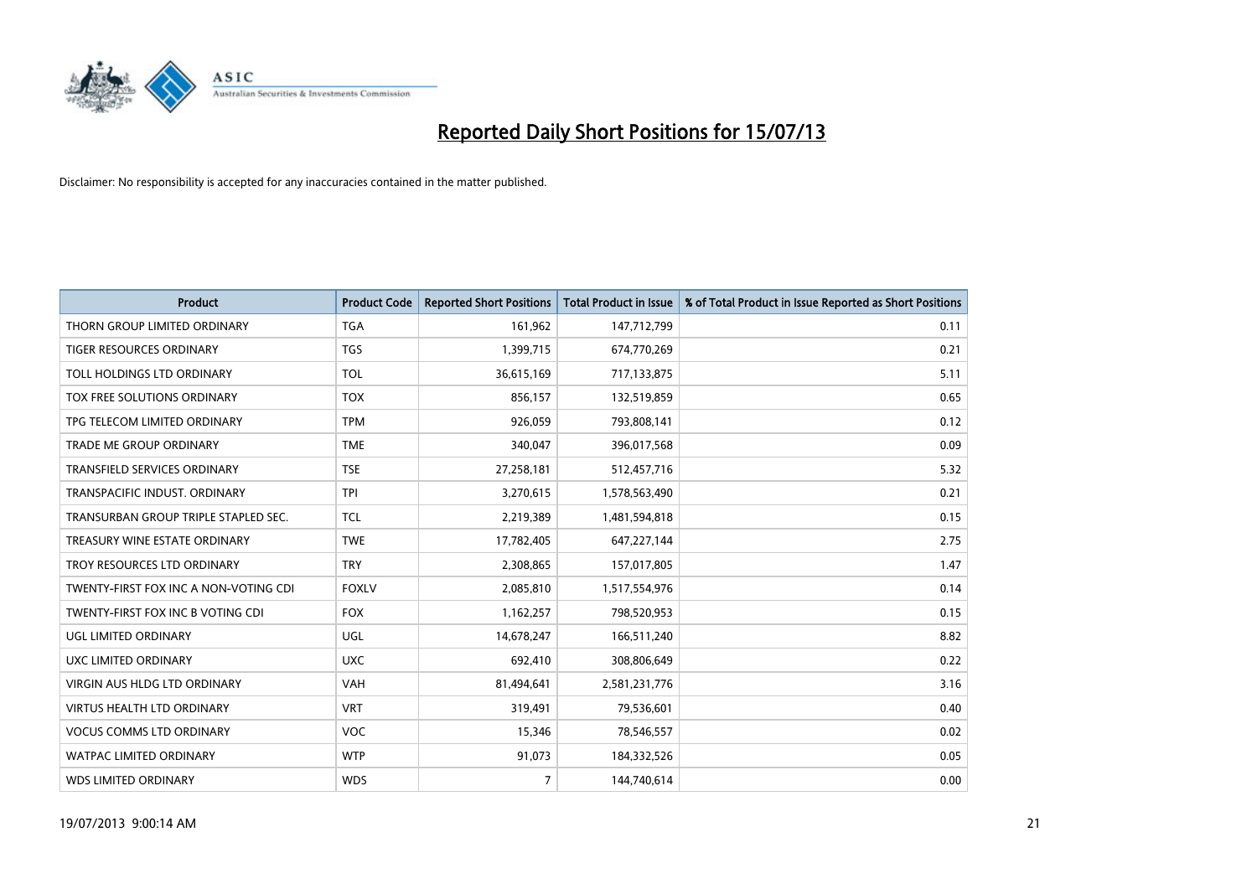

| <b>Product</b>                        | <b>Product Code</b> | <b>Reported Short Positions</b> | <b>Total Product in Issue</b> | % of Total Product in Issue Reported as Short Positions |
|---------------------------------------|---------------------|---------------------------------|-------------------------------|---------------------------------------------------------|
| THORN GROUP LIMITED ORDINARY          | <b>TGA</b>          | 161,962                         | 147,712,799                   | 0.11                                                    |
| TIGER RESOURCES ORDINARY              | <b>TGS</b>          | 1,399,715                       | 674,770,269                   | 0.21                                                    |
| TOLL HOLDINGS LTD ORDINARY            | <b>TOL</b>          | 36,615,169                      | 717,133,875                   | 5.11                                                    |
| TOX FREE SOLUTIONS ORDINARY           | <b>TOX</b>          | 856,157                         | 132,519,859                   | 0.65                                                    |
| TPG TELECOM LIMITED ORDINARY          | <b>TPM</b>          | 926,059                         | 793,808,141                   | 0.12                                                    |
| <b>TRADE ME GROUP ORDINARY</b>        | <b>TME</b>          | 340,047                         | 396,017,568                   | 0.09                                                    |
| TRANSFIELD SERVICES ORDINARY          | <b>TSE</b>          | 27,258,181                      | 512,457,716                   | 5.32                                                    |
| TRANSPACIFIC INDUST. ORDINARY         | <b>TPI</b>          | 3,270,615                       | 1,578,563,490                 | 0.21                                                    |
| TRANSURBAN GROUP TRIPLE STAPLED SEC.  | <b>TCL</b>          | 2,219,389                       | 1,481,594,818                 | 0.15                                                    |
| TREASURY WINE ESTATE ORDINARY         | <b>TWE</b>          | 17,782,405                      | 647,227,144                   | 2.75                                                    |
| TROY RESOURCES LTD ORDINARY           | <b>TRY</b>          | 2,308,865                       | 157,017,805                   | 1.47                                                    |
| TWENTY-FIRST FOX INC A NON-VOTING CDI | <b>FOXLV</b>        | 2,085,810                       | 1,517,554,976                 | 0.14                                                    |
| TWENTY-FIRST FOX INC B VOTING CDI     | <b>FOX</b>          | 1,162,257                       | 798,520,953                   | 0.15                                                    |
| <b>UGL LIMITED ORDINARY</b>           | UGL                 | 14,678,247                      | 166,511,240                   | 8.82                                                    |
| UXC LIMITED ORDINARY                  | <b>UXC</b>          | 692,410                         | 308,806,649                   | 0.22                                                    |
| VIRGIN AUS HLDG LTD ORDINARY          | VAH                 | 81,494,641                      | 2,581,231,776                 | 3.16                                                    |
| VIRTUS HEALTH LTD ORDINARY            | <b>VRT</b>          | 319,491                         | 79,536,601                    | 0.40                                                    |
| <b>VOCUS COMMS LTD ORDINARY</b>       | VOC                 | 15,346                          | 78,546,557                    | 0.02                                                    |
| <b>WATPAC LIMITED ORDINARY</b>        | <b>WTP</b>          | 91,073                          | 184,332,526                   | 0.05                                                    |
| WDS LIMITED ORDINARY                  | <b>WDS</b>          | $\overline{7}$                  | 144,740,614                   | 0.00                                                    |